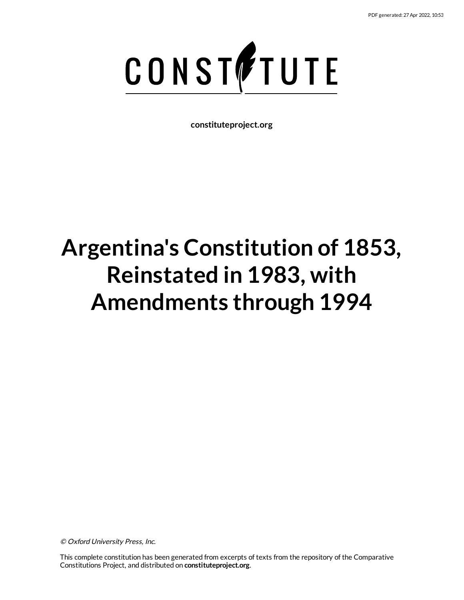

**constituteproject.org**

# **Argentina's Constitution of 1853, Reinstated in 1983, with Amendments through 1994**

© Oxford University Press, Inc.

This complete constitution has been generated from excerpts of texts from the repository of the Comparative Constitutions Project, and distributed on **constituteproject.org**.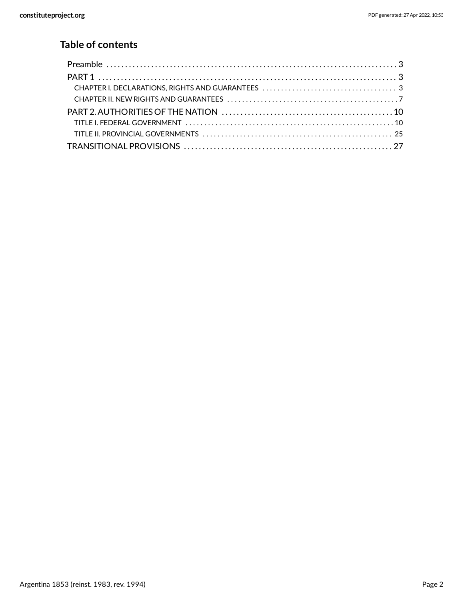# **Table of contents**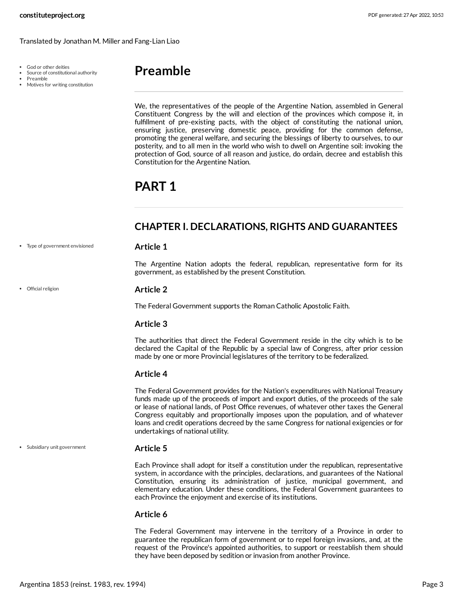- God or other deities
- Source of constitutional authority
- Preamble
- Motives for writing constitution

# <span id="page-2-0"></span>**Preamble**

We, the representatives of the people of the Argentine Nation, assembled in General Constituent Congress by the will and election of the provinces which compose it, in fulfillment of pre-existing pacts, with the object of constituting the national union, ensuring justice, preserving domestic peace, providing for the common defense, promoting the general welfare, and securing the blessings of liberty to ourselves, to our posterity, and to all men in the world who wish to dwell on Argentine soil: invoking the protection of God, source of all reason and justice, do ordain, decree and establish this Constitution for the Argentine Nation.

# <span id="page-2-1"></span>**PART 1**

# <span id="page-2-2"></span>**CHAPTER I. DECLARATIONS, RIGHTS AND GUARANTEES**

#### Type of government envisioned

Official religion

<span id="page-2-5"></span>**Article 1**

The Argentine Nation adopts the federal, republican, representative form for its government, as established by the present Constitution.

#### <span id="page-2-3"></span>**Article 2**

The Federal Government supports the Roman Catholic Apostolic Faith.

#### **Article 3**

The authorities that direct the Federal Government reside in the city which is to be declared the Capital of the Republic by a special law of Congress, after prior cession made by one or more Provincial legislatures of the territory to be federalized.

#### **Article 4**

The Federal Government provides for the Nation's expenditures with National Treasury funds made up of the proceeds of import and export duties, of the proceeds of the sale or lease of national lands, of Post Office revenues, of whatever other taxes the General Congress equitably and proportionally imposes upon the population, and of whatever loans and credit operations decreed by the same Congress for national exigencies or for undertakings of national utility.

Subsidiary unit government

#### <span id="page-2-4"></span>**Article 5**

Each Province shall adopt for itself a constitution under the republican, representative system, in accordance with the principles, declarations, and guarantees of the National Constitution, ensuring its administration of justice, municipal government, and elementary education. Under these conditions, the Federal Government guarantees to each Province the enjoyment and exercise of its institutions.

#### **Article 6**

The Federal Government may intervene in the territory of a Province in order to guarantee the republican form of government or to repel foreign invasions, and, at the request of the Province's appointed authorities, to support or reestablish them should they have been deposed by sedition or invasion from another Province.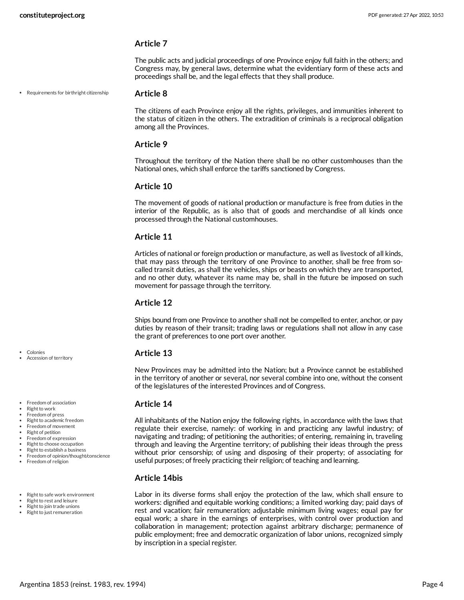#### **Article 7**

The public acts and judicial proceedings of one Province enjoy full faith in the others; and Congress may, by general laws, determine what the evidentiary form of these acts and proceedings shall be, and the legal effects that they shall produce.

Requirements for birthright citizenship

#### <span id="page-3-2"></span>**Article 8**

The citizens of each Province enjoy all the rights, privileges, and immunities inherent to the status of citizen in the others. The extradition of criminals is a reciprocal obligation among all the Provinces.

#### **Article 9**

Throughout the territory of the Nation there shall be no other customhouses than the National ones, which shall enforce the tariffs sanctioned by Congress.

#### **Article 10**

The movement of goods of national production or manufacture is free from duties in the interior of the Republic, as is also that of goods and merchandise of all kinds once processed through the National customhouses.

#### **Article 11**

Articles of national or foreign production or manufacture, as well as livestock of all kinds, that may pass through the territory of one Province to another, shall be free from socalled transit duties, as shall the vehicles, ships or beasts on which they are transported, and no other duty, whatever its name may be, shall in the future be imposed on such movement for passage through the territory.

#### **Article 12**

Ships bound from one Province to another shall not be compelled to enter, anchor, or pay duties by reason of their transit; trading laws or regulations shall not allow in any case the grant of preferences to one port over another.

#### <span id="page-3-0"></span>**Article 13**

New Provinces may be admitted into the Nation; but a Province cannot be established in the territory of another or several, nor several combine into one, without the consent of the legislatures of the interested Provinces and of Congress.

#### <span id="page-3-1"></span>**Article 14**

All inhabitants of the Nation enjoy the following rights, in accordance with the laws that regulate their exercise, namely: of working in and practicing any lawful industry; of navigating and trading; of petitioning the authorities; of entering, remaining in, traveling through and leaving the Argentine territory; of publishing their ideas through the press without prior censorship; of using and disposing of their property; of associating for useful purposes; of freely practicing their religion; of teaching and learning.

#### **Article 14bis**

<span id="page-3-3"></span>Labor in its diverse forms shall enjoy the protection of the law, which shall ensure to workers: dignified and equitable working conditions; a limited working day; paid days of rest and vacation; fair remuneration; adjustable minimum living wages; equal pay for equal work; a share in the earnings of enterprises, with control over production and collaboration in management; protection against arbitrary discharge; permanence of public employment; free and democratic organization of labor unions, recognized simply by inscription in a special register.

Colonies Accession of territory

- **•** Freedom of association
- Right to work
- Freedom of press Right to academic freedom
- Freedom of movement
- Right of petition
- Freedom of expression
- Right to choose occupation
- Right to establish a business
- Freedom of opinion/thought/conscience
- Freedom of religion

• Right to safe work environment

- Right to rest and leisure
- Right to join trade unions
- Right to just remuneration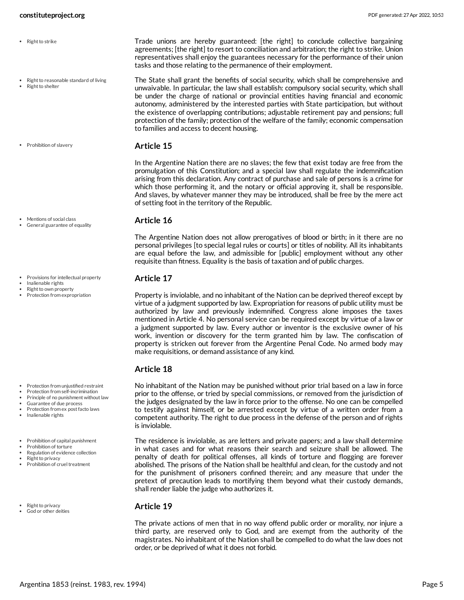- Right to strike
- Right to reasonable standard of living
- Right to shelter

**•** Prohibition of slavery

- Mentions of social class General guarantee of equality
- $\bullet$  . Provisions for intellectual property
- Inalienable rights
- Right to own property
- Protection from expropriation

- Protection from unjustified restraint
- Protection from self-incrimination
- Principle of no punishment without law
- Guarantee of due process
- Protection from ex post facto laws • Inalienable rights
- Prohibition of capital punishment
- Prohibition of torture
- Regulation of evidence collection
- **Right to privacy** Prohibition of cruel treatment
- Right to privacy God or other deities

<span id="page-4-7"></span>Trade unions are hereby guaranteed: [the right] to conclude collective bargaining agreements; [the right] to resort to conciliation and arbitration; the right to strike. Union representatives shall enjoy the guarantees necessary for the performance of their union tasks and those relating to the permanence of their employment.

<span id="page-4-6"></span>The State shall grant the benefits of social security, which shall be comprehensive and unwaivable. In particular, the law shall establish: compulsory social security, which shall be under the charge of national or provincial entities having financial and economic autonomy, administered by the interested parties with State participation, but without the existence of overlapping contributions; adjustable retirement pay and pensions; full protection of the family; protection of the welfare of the family; economic compensation to families and access to decent housing.

#### <span id="page-4-5"></span>**Article 15**

In the Argentine Nation there are no slaves; the few that exist today are free from the promulgation of this Constitution; and a special law shall regulate the indemnification arising from this declaration. Any contract of purchase and sale of persons is a crime for which those performing it, and the notary or official approving it, shall be responsible. And slaves, by whatever manner they may be introduced, shall be free by the mere act of setting foot in the territory of the Republic.

#### <span id="page-4-0"></span>**Article 16**

The Argentine Nation does not allow prerogatives of blood or birth; in it there are no personal privileges [to special legal rules or courts] or titles of nobility. All its inhabitants are equal before the law, and admissible for [public] employment without any other requisite than fitness. Equality is the basis of taxation and of public charges.

#### <span id="page-4-3"></span>**Article 17**

Property is inviolable, and no inhabitant of the Nation can be deprived thereof except by virtue of a judgment supported by law. Expropriation for reasons of public utility must be authorized by law and previously indemnified. Congress alone imposes the taxes mentioned in Article 4. No personal service can be required except by virtue of a law or a judgment supported by law. Every author or inventor is the exclusive owner of his work, invention or discovery for the term granted him by law. The confiscation of property is stricken out forever from the Argentine Penal Code. No armed body may make requisitions, or demand assistance of any kind.

#### **Article 18**

<span id="page-4-2"></span>No inhabitant of the Nation may be punished without prior trial based on a law in force prior to the offense, or tried by special commissions, or removed from the jurisdiction of the judges designated by the law in force prior to the offense. No one can be compelled to testify against himself, or be arrested except by virtue of a written order from a competent authority. The right to due process in the defense of the person and of rights is inviolable.

<span id="page-4-4"></span>The residence is inviolable, as are letters and private papers; and a law shall determine in what cases and for what reasons their search and seizure shall be allowed. The penalty of death for political offenses, all kinds of torture and flogging are forever abolished. The prisons of the Nation shall be healthful and clean, for the custody and not for the punishment of prisoners confined therein; and any measure that under the pretext of precaution leads to mortifying them beyond what their custody demands, shall render liable the judge who authorizes it.

#### <span id="page-4-1"></span>**Article 19**

The private actions of men that in no way offend public order or morality, nor injure a third party, are reserved only to God, and are exempt from the authority of the magistrates. No inhabitant of the Nation shall be compelled to do what the law does not order, or be deprived of what it does not forbid.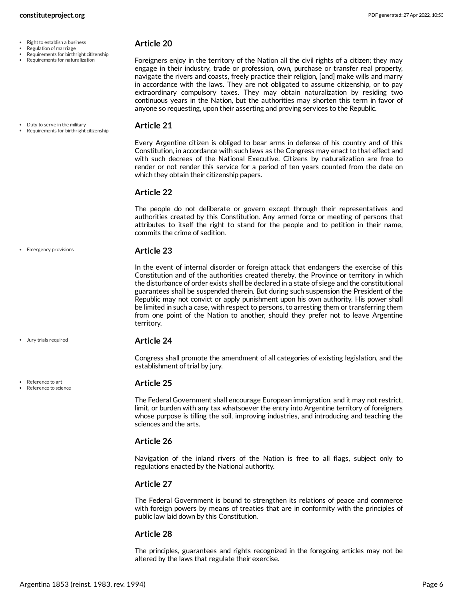- $\cdot$  Right to establish a business
- Regulation of marriage
- Requirements for birthright citizenship
- Requirements for naturalization

#### <span id="page-5-4"></span>**Article 20**

Foreigners enjoy in the territory of the Nation all the civil rights of a citizen; they may engage in their industry, trade or profession, own, purchase or transfer real property, navigate the rivers and coasts, freely practice their religion, [and] make wills and marry in accordance with the laws. They are not obligated to assume citizenship, or to pay extraordinary compulsory taxes. They may obtain naturalization by residing two continuous years in the Nation, but the authorities may shorten this term in favor of anyone so requesting, upon their asserting and proving services to the Republic.

Duty to serve in the military Requirements for birthright citizenship

• Emergency provisions

Jury trials required

Reference to art Reference to science

#### <span id="page-5-0"></span>**Article 21**

Every Argentine citizen is obliged to bear arms in defense of his country and of this Constitution, in accordance with such laws as the Congress may enact to that effect and with such decrees of the National Executive. Citizens by naturalization are free to render or not render this service for a period of ten years counted from the date on which they obtain their citizenship papers.

#### **Article 22**

The people do not deliberate or govern except through their representatives and authorities created by this Constitution. Any armed force or meeting of persons that attributes to itself the right to stand for the people and to petition in their name, commits the crime of sedition.

#### <span id="page-5-1"></span>**Article 23**

In the event of internal disorder or foreign attack that endangers the exercise of this Constitution and of the authorities created thereby, the Province or territory in which the disturbance of order exists shall be declared in a state of siege and the constitutional guarantees shall be suspended therein. But during such suspension the President of the Republic may not convict or apply punishment upon his own authority. His power shall be limited in such a case, with respect to persons, to arresting them or transferring them from one point of the Nation to another, should they prefer not to leave Argentine territory.

#### <span id="page-5-2"></span>**Article 24**

Congress shall promote the amendment of all categories of existing legislation, and the establishment of trial by jury.

#### <span id="page-5-3"></span>**Article 25**

The Federal Government shall encourage European immigration, and it may not restrict, limit, or burden with any tax whatsoever the entry into Argentine territory of foreigners whose purpose is tilling the soil, improving industries, and introducing and teaching the sciences and the arts.

#### **Article 26**

Navigation of the inland rivers of the Nation is free to all flags, subject only to regulations enacted by the National authority.

### **Article 27**

The Federal Government is bound to strengthen its relations of peace and commerce with foreign powers by means of treaties that are in conformity with the principles of public law laid down by this Constitution.

#### **Article 28**

The principles, guarantees and rights recognized in the foregoing articles may not be altered by the laws that regulate their exercise.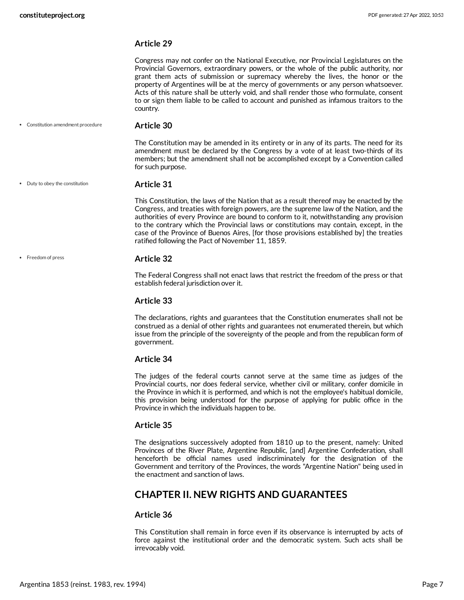#### **Article 29**

Congress may not confer on the National Executive, nor Provincial Legislatures on the Provincial Governors, extraordinary powers, or the whole of the public authority, nor grant them acts of submission or supremacy whereby the lives, the honor or the property of Argentines will be at the mercy of governments or any person whatsoever. Acts of this nature shall be utterly void, and shall render those who formulate, consent to or sign them liable to be called to account and punished as infamous traitors to the country.

Constitution amendment procedure

#### <span id="page-6-1"></span>**Article 30**

The Constitution may be amended in its entirety or in any of its parts. The need for its amendment must be declared by the Congress by a vote of at least two-thirds of its members; but the amendment shall not be accomplished except by a Convention called for such purpose.

Duty to obey the constitution

• Freedom of press

#### <span id="page-6-2"></span>**Article 31**

This Constitution, the laws of the Nation that as a result thereof may be enacted by the Congress, and treaties with foreign powers, are the supreme law of the Nation, and the authorities of every Province are bound to conform to it, notwithstanding any provision to the contrary which the Provincial laws or constitutions may contain, except, in the case of the Province of Buenos Aires, [for those provisions established by] the treaties ratified following the Pact of November 11, 1859.

#### <span id="page-6-3"></span>**Article 32**

The Federal Congress shall not enact laws that restrict the freedom of the press or that establish federal jurisdiction over it.

#### **Article 33**

The declarations, rights and guarantees that the Constitution enumerates shall not be construed as a denial of other rights and guarantees not enumerated therein, but which issue from the principle of the sovereignty of the people and from the republican form of government.

#### **Article 34**

The judges of the federal courts cannot serve at the same time as judges of the Provincial courts, nor does federal service, whether civil or military, confer domicile in the Province in which it is performed, and which is not the employee's habitual domicile, this provision being understood for the purpose of applying for public office in the Province in which the individuals happen to be.

#### **Article 35**

The designations successively adopted from 1810 up to the present, namely: United Provinces of the River Plate, Argentine Republic, [and] Argentine Confederation, shall henceforth be official names used indiscriminately for the designation of the Government and territory of the Provinces, the words "Argentine Nation" being used in the enactment and sanction of laws.

### <span id="page-6-0"></span>**CHAPTER II. NEW RIGHTS AND GUARANTEES**

#### **Article 36**

This Constitution shall remain in force even if its observance is interrupted by acts of force against the institutional order and the democratic system. Such acts shall be irrevocably void.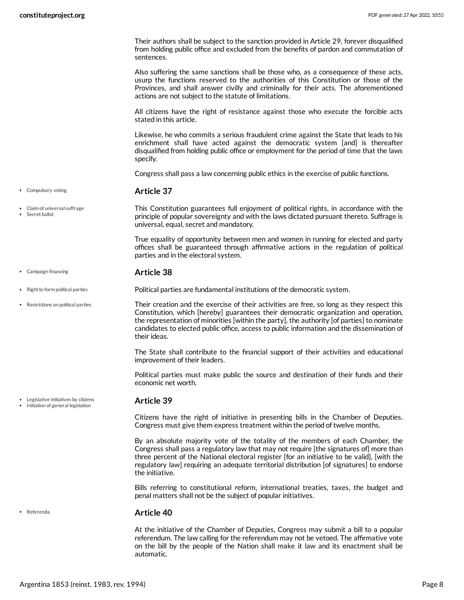Their authors shall be subject to the sanction provided in Article 29, forever disqualified from holding public office and excluded from the benefits of pardon and commutation of sentences.

Also suffering the same sanctions shall be those who, as a consequence of these acts, usurp the functions reserved to the authorities of this Constitution or those of the Provinces, and shall answer civilly and criminally for their acts. The aforementioned actions are not subject to the statute of limitations.

All citizens have the right of resistance against those who execute the forcible acts stated in this article.

Likewise, he who commits a serious fraudulent crime against the State that leads to his enrichment shall have acted against the democratic system [and] is thereafter disqualified from holding public office or employment for the period of time that the laws specify.

<span id="page-7-2"></span>Congress shall pass a law concerning public ethics in the exercise of public functions.

#### **Article 37**

<span id="page-7-1"></span>This Constitution guarantees full enjoyment of political rights, in accordance with the principle of popular sovereignty and with the laws dictated pursuant thereto. Suffrage is universal, equal, secret and mandatory.

<span id="page-7-0"></span>True equality of opportunity between men and women in running for elected and party offices shall be guaranteed through affirmative actions in the regulation of political parties and in the electoral system.

#### **Article 38**

Political parties are fundamental institutions of the democratic system.

<span id="page-7-6"></span><span id="page-7-5"></span>Their creation and the exercise of their activities are free, so long as they respect this Constitution, which [hereby] guarantees their democratic organization and operation, the representation of minorities [within the party], the authority [of parties] to nominate candidates to elected public office, access to public information and the dissemination of their ideas.

The State shall contribute to the financial support of their activities and educational improvement of their leaders.

Political parties must make public the source and destination of their funds and their economic net worth.

#### <span id="page-7-3"></span>**Article 39**

Citizens have the right of initiative in presenting bills in the Chamber of Deputies. Congress must give them express treatment within the period of twelve months.

By an absolute majority vote of the totality of the members of each Chamber, the Congress shall pass a regulatory law that may not require [the signatures of] more than three percent of the National electoral register [for an initiative to be valid], [with the regulatory law] requiring an adequate territorial distribution [of signatures] to endorse the initiative.

Bills referring to constitutional reform, international treaties, taxes, the budget and penal matters shall not be the subject of popular initiatives.

#### <span id="page-7-4"></span>**Article 40**

At the initiative of the Chamber of Deputies, Congress may submit a bill to a popular referendum. The law calling for the referendum may not be vetoed. The affirmative vote on the bill by the people of the Nation shall make it law and its enactment shall be automatic.

• Compulsory voting

- Claim of universal suffrage
- Secret ballot

Campaign financing

- Right to form political parties
- Restrictions on political parties

Legislative initiatives by citizens • Initiation of general legislation

Referenda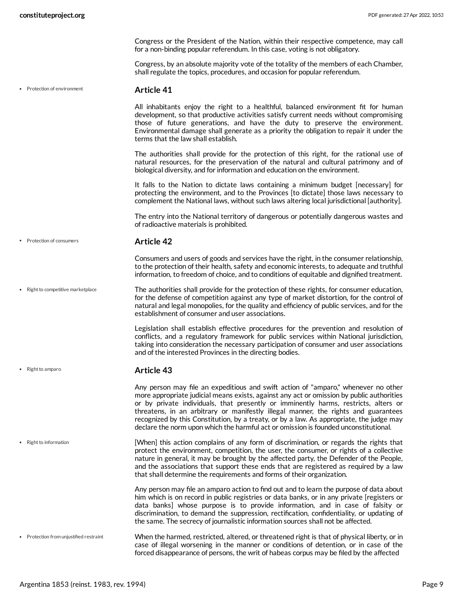Congress or the President of the Nation, within their respective competence, may call for a non-binding popular referendum. In this case, voting is not obligatory.

Congress, by an absolute majority vote of the totality of the members of each Chamber, shall regulate the topics, procedures, and occasion for popular referendum.

Protection of environment

#### <span id="page-8-2"></span>**Article 41**

All inhabitants enjoy the right to a healthful, balanced environment fit for human development, so that productive activities satisfy current needs without compromising those of future generations, and have the duty to preserve the environment. Environmental damage shall generate as a priority the obligation to repair it under the terms that the law shall establish.

The authorities shall provide for the protection of this right, for the rational use of natural resources, for the preservation of the natural and cultural patrimony and of biological diversity, and for information and education on the environment.

It falls to the Nation to dictate laws containing a minimum budget [necessary] for protecting the environment, and to the Provinces [to dictate] those laws necessary to complement the National laws, without such laws altering local jurisdictional [authority].

The entry into the National territory of dangerous or potentially dangerous wastes and of radioactive materials is prohibited.

• Protection of consumers

• Right to amparo

#### <span id="page-8-1"></span>**Article 42**

<span id="page-8-4"></span>Consumers and users of goods and services have the right, in the consumer relationship, to the protection of their health, safety and economic interests, to adequate and truthful information, to freedom of choice, and to conditions of equitable and dignified treatment.

The authorities shall provide for the protection of these rights, for consumer education, for the defense of competition against any type of market distortion, for the control of natural and legal monopolies, for the quality and efficiency of public services, and for the establishment of consumer and user associations. • Right to competitive marketplace

> Legislation shall establish effective procedures for the prevention and resolution of conflicts, and a regulatory framework for public services within National jurisdiction, taking into consideration the necessary participation of consumer and user associations and of the interested Provinces in the directing bodies.

#### <span id="page-8-3"></span>**Article 43**

Any person may file an expeditious and swift action of "amparo," whenever no other more appropriate judicial means exists, against any act or omission by public authorities or by private individuals, that presently or imminently harms, restricts, alters or threatens, in an arbitrary or manifestly illegal manner, the rights and guarantees recognized by this Constitution, by a treaty, or by a law. As appropriate, the judge may declare the norm upon which the harmful act or omission is founded unconstitutional.

[When] this action complains of any form of discrimination, or regards the rights that protect the environment, competition, the user, the consumer, or rights of a collective nature in general, it may be brought by the affected party, the Defender of the People, and the associations that support these ends that are registered as required by a law that shall determine the requirements and forms of their organization. • Right to information

> <span id="page-8-5"></span><span id="page-8-0"></span>Any person may file an amparo action to find out and to learn the purpose of data about him which is on record in public registries or data banks, or in any private [registers or data banks] whose purpose is to provide information, and in case of falsity or discrimination, to demand the suppression, rectification, confidentiality, or updating of the same. The secrecy of journalistic information sources shall not be affected.

When the harmed, restricted, altered, or threatened right is that of physical liberty, or in case of illegal worsening in the manner or conditions of detention, or in case of the forced disappearance of persons, the writ of habeas corpus may be filed by the affected • Protection from unjustified restraint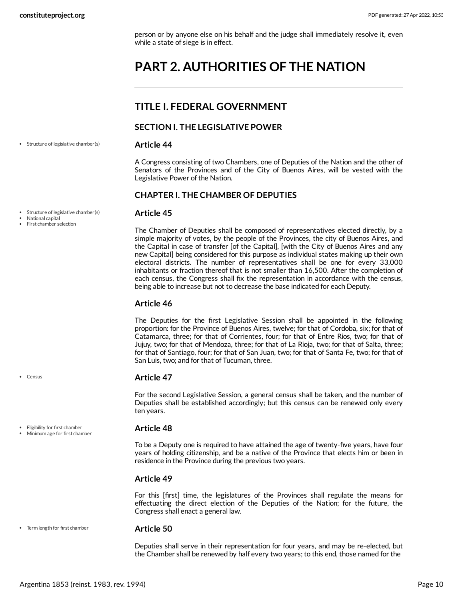person or by anyone else on his behalf and the judge shall immediately resolve it, even while a state of siege is in effect.

# <span id="page-9-0"></span>**PART 2. AUTHORITIES OF THE NATION**

# <span id="page-9-1"></span>**TITLE I. FEDERAL GOVERNMENT**

#### **SECTION I. THE LEGISLATIVE POWER**

• Structure of legislative chamber(s)

<span id="page-9-5"></span>**Article 44**

A Congress consisting of two Chambers, one of Deputies of the Nation and the other of Senators of the Provinces and of the City of Buenos Aires, will be vested with the Legislative Power of the Nation.

#### **CHAPTER I. THE CHAMBER OF DEPUTIES**

#### <span id="page-9-4"></span>**Article 45**

The Chamber of Deputies shall be composed of representatives elected directly, by a simple majority of votes, by the people of the Provinces, the city of Buenos Aires, and the Capital in case of transfer [of the Capital], [with the City of Buenos Aires and any new Capital] being considered for this purpose as individual states making up their own electoral districts. The number of representatives shall be one for every 33,000 inhabitants or fraction thereof that is not smaller than 16,500. After the completion of each census, the Congress shall fix the representation in accordance with the census, being able to increase but not to decrease the base indicated for each Deputy.

#### **Article 46**

The Deputies for the first Legislative Session shall be appointed in the following proportion: for the Province of Buenos Aires, twelve; for that of Cordoba, six; for that of Catamarca, three; for that of Corrientes, four; for that of Entre Rios, two; for that of Jujuy, two; for that of Mendoza, three; for that of La Rioja, two; for that of Salta, three; for that of Santiago, four; for that of San Juan, two; for that of Santa Fe, two; for that of San Luis, two; and for that of Tucuman, three.

#### <span id="page-9-2"></span>**Article 47**

For the second Legislative Session, a general census shall be taken, and the number of Deputies shall be established accordingly; but this census can be renewed only every ten years.

#### <span id="page-9-3"></span>**Article 48**

To be a Deputy one is required to have attained the age of twenty-five years, have four years of holding citizenship, and be a native of the Province that elects him or been in residence in the Province during the previous two years.

### **Article 49**

For this [first] time, the legislatures of the Provinces shall regulate the means for effectuating the direct election of the Deputies of the Nation; for the future, the Congress shall enact a general law.

#### Term length for first chamber

#### <span id="page-9-6"></span>**Article 50**

Deputies shall serve in their representation for four years, and may be re-elected, but the Chamber shall be renewed by half every two years; to this end, those named for the

• Structure of legislative chamber(s)

- National capital
- First chamber selection

• Census

Eligibility for first chamber Minimum age for first chamber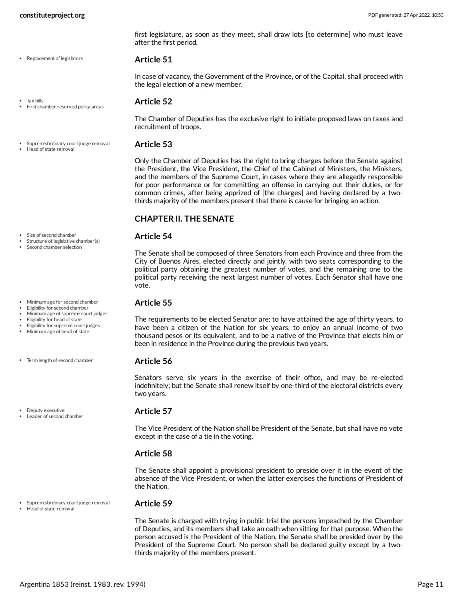• Replacement of legislators

first legislature, as soon as they meet, shall draw lots [to determine] who must leave after the first period.

#### <span id="page-10-4"></span>**Article 51**

In case of vacancy, the Government of the Province, or of the Capital, shall proceed with the legal election of a new member.

#### Tax bills

• Head of state removal

#### First chamber reserved policy areas

Supreme/ordinary court judge removal

#### <span id="page-10-2"></span>**Article 52**

The Chamber of Deputies has the exclusive right to initiate proposed laws on taxes and recruitment of troops.

#### <span id="page-10-3"></span>**Article 53**

Only the Chamber of Deputies has the right to bring charges before the Senate against the President, the Vice President, the Chief of the Cabinet of Ministers, the Ministers, and the members of the Supreme Court, in cases where they are allegedly responsible for poor performance or for committing an offense in carrying out their duties, or for common crimes, after being apprized of [the charges] and having declared by a twothirds majority of the members present that there is cause for bringing an action.

#### **CHAPTER II. THE SENATE**

#### <span id="page-10-5"></span>**Article 54**

The Senate shall be composed of three Senators from each Province and three from the City of Buenos Aires, elected directly and jointly, with two seats corresponding to the political party obtaining the greatest number of votes, and the remaining one to the political party receiving the next largest number of votes. Each Senator shall have one vote.

#### <span id="page-10-1"></span>**Article 55**

The requirements to be elected Senator are: to have attained the age of thirty years, to have been a citizen of the Nation for six years, to enjoy an annual income of two thousand pesos or its equivalent, and to be a native of the Province that elects him or been in residence in the Province during the previous two years.

#### <span id="page-10-6"></span>**Article 56**

Senators serve six years in the exercise of their office, and may be re-elected indefinitely; but the Senate shall renew itself by one-third of the electoral districts every two years.

#### <span id="page-10-0"></span>**Article 57**

The Vice President of the Nation shall be President of the Senate, but shall have no vote except in the case of a tie in the voting.

#### **Article 58**

The Senate shall appoint a provisional president to preside over it in the event of the absence of the Vice President, or when the latter exercises the functions of President of the Nation.

### Head of state removal

#### **Article 59**

The Senate is charged with trying in public trial the persons impeached by the Chamber of Deputies, and its members shall take an oath when sitting for that purpose. When the person accused is the President of the Nation, the Senate shall be presided over by the President of the Supreme Court. No person shall be declared guilty except by a twothirds majority of the members present.

Size of second chamber

- Structure of legislative chamber(s)
- Second chamber selection
- Minimum age for second chamber
- Eligibility for second chamber Minimum age of supreme court judges
- Eligibility for head of state
- Eligibility for supreme court judges
- Minimum age of head of state
- Term length of second chamber

• Deputy executive Leader of second chamber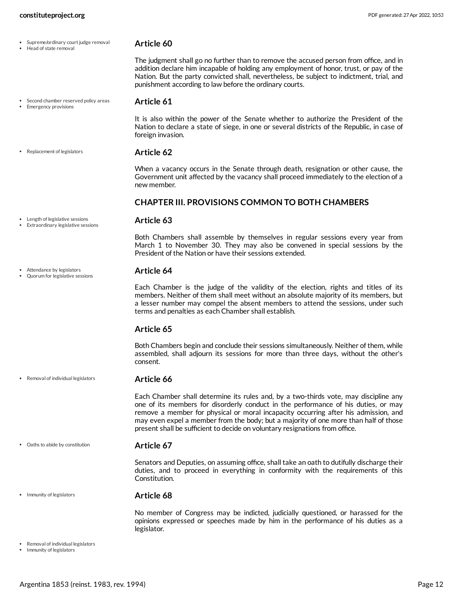<span id="page-11-7"></span><span id="page-11-6"></span><span id="page-11-5"></span><span id="page-11-4"></span><span id="page-11-3"></span><span id="page-11-2"></span><span id="page-11-1"></span><span id="page-11-0"></span>

| • Supreme/ordinary court judge removal<br>Head of state removal      | Article 60                                                                                                                                                                                                                                                                                                                                                                                                                                |
|----------------------------------------------------------------------|-------------------------------------------------------------------------------------------------------------------------------------------------------------------------------------------------------------------------------------------------------------------------------------------------------------------------------------------------------------------------------------------------------------------------------------------|
|                                                                      | The judgment shall go no further than to remove the accused person from office, and in<br>addition declare him incapable of holding any employment of honor, trust, or pay of the<br>Nation. But the party convicted shall, nevertheless, be subject to indictment, trial, and<br>punishment according to law before the ordinary courts.                                                                                                 |
| Second chamber reserved policy areas<br><b>Emergency provisions</b>  | Article 61                                                                                                                                                                                                                                                                                                                                                                                                                                |
|                                                                      | It is also within the power of the Senate whether to authorize the President of the<br>Nation to declare a state of siege, in one or several districts of the Republic, in case of<br>foreign invasion.                                                                                                                                                                                                                                   |
| Replacement of legislators                                           | <b>Article 62</b>                                                                                                                                                                                                                                                                                                                                                                                                                         |
|                                                                      | When a vacancy occurs in the Senate through death, resignation or other cause, the<br>Government unit affected by the vacancy shall proceed immediately to the election of a<br>new member.                                                                                                                                                                                                                                               |
|                                                                      | <b>CHAPTER III. PROVISIONS COMMON TO BOTH CHAMBERS</b>                                                                                                                                                                                                                                                                                                                                                                                    |
| Length of legislative sessions<br>Extraordinary legislative sessions | Article 63                                                                                                                                                                                                                                                                                                                                                                                                                                |
|                                                                      | Both Chambers shall assemble by themselves in regular sessions every year from<br>March 1 to November 30. They may also be convened in special sessions by the<br>President of the Nation or have their sessions extended.                                                                                                                                                                                                                |
| Attendance by legislators<br>Quorum for legislative sessions         | Article 64                                                                                                                                                                                                                                                                                                                                                                                                                                |
|                                                                      | Each Chamber is the judge of the validity of the election, rights and titles of its<br>members. Neither of them shall meet without an absolute majority of its members, but<br>a lesser number may compel the absent members to attend the sessions, under such<br>terms and penalties as each Chamber shall establish.                                                                                                                   |
|                                                                      | Article 65                                                                                                                                                                                                                                                                                                                                                                                                                                |
|                                                                      | Both Chambers begin and conclude their sessions simultaneously. Neither of them, while<br>assembled, shall adjourn its sessions for more than three days, without the other's<br>consent.                                                                                                                                                                                                                                                 |
| • Removal of individual legislators                                  | Article 66                                                                                                                                                                                                                                                                                                                                                                                                                                |
|                                                                      | Each Chamber shall determine its rules and, by a two-thirds vote, may discipline any<br>one of its members for disorderly conduct in the performance of his duties, or may<br>remove a member for physical or moral incapacity occurring after his admission, and<br>may even expel a member from the body; but a majority of one more than half of those<br>present shall be sufficient to decide on voluntary resignations from office. |
| Oaths to abide by constitution                                       | Article 67                                                                                                                                                                                                                                                                                                                                                                                                                                |
|                                                                      | Senators and Deputies, on assuming office, shall take an oath to dutifully discharge their<br>duties, and to proceed in everything in conformity with the requirements of this<br>Constitution.                                                                                                                                                                                                                                           |
| Immunity of legislators                                              | Article 68                                                                                                                                                                                                                                                                                                                                                                                                                                |
|                                                                      | No member of Congress may be indicted, judicially questioned, or harassed for the<br>opinions expressed or speeches made by him in the performance of his duties as a<br>legislator.                                                                                                                                                                                                                                                      |
| Removal of individual legislators<br>Immunity of legislators         |                                                                                                                                                                                                                                                                                                                                                                                                                                           |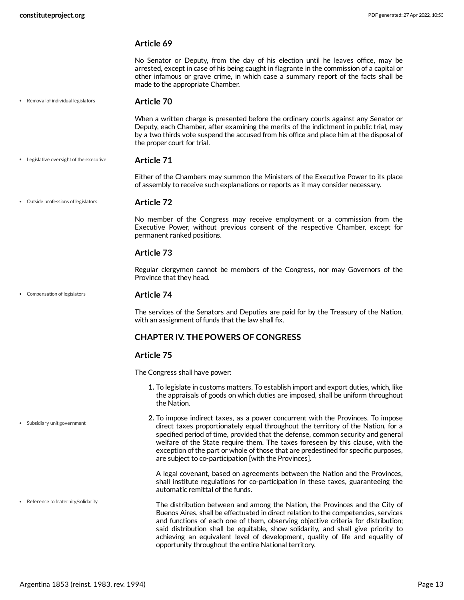<span id="page-12-5"></span><span id="page-12-3"></span><span id="page-12-2"></span>

|                                          | Article 69                                                                                                                                                                                                                                                                                                                                                                                                                                                                                 |
|------------------------------------------|--------------------------------------------------------------------------------------------------------------------------------------------------------------------------------------------------------------------------------------------------------------------------------------------------------------------------------------------------------------------------------------------------------------------------------------------------------------------------------------------|
|                                          | No Senator or Deputy, from the day of his election until he leaves office, may be<br>arrested, except in case of his being caught in flagrante in the commission of a capital or<br>other infamous or grave crime, in which case a summary report of the facts shall be<br>made to the appropriate Chamber.                                                                                                                                                                                |
| Removal of individual legislators        | Article 70                                                                                                                                                                                                                                                                                                                                                                                                                                                                                 |
|                                          | When a written charge is presented before the ordinary courts against any Senator or<br>Deputy, each Chamber, after examining the merits of the indictment in public trial, may<br>by a two thirds vote suspend the accused from his office and place him at the disposal of<br>the proper court for trial.                                                                                                                                                                                |
| • Legislative oversight of the executive | Article 71                                                                                                                                                                                                                                                                                                                                                                                                                                                                                 |
|                                          | Either of the Chambers may summon the Ministers of the Executive Power to its place<br>of assembly to receive such explanations or reports as it may consider necessary.                                                                                                                                                                                                                                                                                                                   |
| Outside professions of legislators       | <b>Article 72</b>                                                                                                                                                                                                                                                                                                                                                                                                                                                                          |
|                                          | No member of the Congress may receive employment or a commission from the<br>Executive Power, without previous consent of the respective Chamber, except for<br>permanent ranked positions.                                                                                                                                                                                                                                                                                                |
|                                          | Article 73                                                                                                                                                                                                                                                                                                                                                                                                                                                                                 |
|                                          | Regular clergymen cannot be members of the Congress, nor may Governors of the<br>Province that they head.                                                                                                                                                                                                                                                                                                                                                                                  |
| Compensation of legislators              | Article 74                                                                                                                                                                                                                                                                                                                                                                                                                                                                                 |
|                                          | The services of the Senators and Deputies are paid for by the Treasury of the Nation,<br>with an assignment of funds that the law shall fix.                                                                                                                                                                                                                                                                                                                                               |
|                                          | <b>CHAPTER IV. THE POWERS OF CONGRESS</b>                                                                                                                                                                                                                                                                                                                                                                                                                                                  |
|                                          | Article 75                                                                                                                                                                                                                                                                                                                                                                                                                                                                                 |
|                                          | The Congress shall have power:                                                                                                                                                                                                                                                                                                                                                                                                                                                             |
|                                          | 1. To legislate in customs matters. To establish import and export duties, which, like<br>the appraisals of goods on which duties are imposed, shall be uniform throughout<br>the Nation.                                                                                                                                                                                                                                                                                                  |
| Subsidiary unit government               | 2. To impose indirect taxes, as a power concurrent with the Provinces. To impose<br>direct taxes proportionately equal throughout the territory of the Nation, for a<br>specified period of time, provided that the defense, common security and general<br>welfare of the State require them. The taxes foreseen by this clause, with the<br>exception of the part or whole of those that are predestined for specific purposes,<br>are subject to co-participation [with the Provinces]. |
|                                          | A legal covenant, based on agreements between the Nation and the Provinces,<br>shall institute regulations for co-participation in these taxes, guaranteeing the<br>automatic remittal of the funds.                                                                                                                                                                                                                                                                                       |
| Reference to fraternity/solidarity       | The distribution between and among the Nation, the Provinces and the City of<br>Buenos Aires, shall be effectuated in direct relation to the competencies, services<br>and functions of each one of them, observing objective criteria for distribution;<br>said distribution shall be equitable, show solidarity, and shall give priority to                                                                                                                                              |

<span id="page-12-4"></span><span id="page-12-1"></span><span id="page-12-0"></span>achieving an equivalent level of development, quality of life and equality of

opportunity throughout the entire National territory.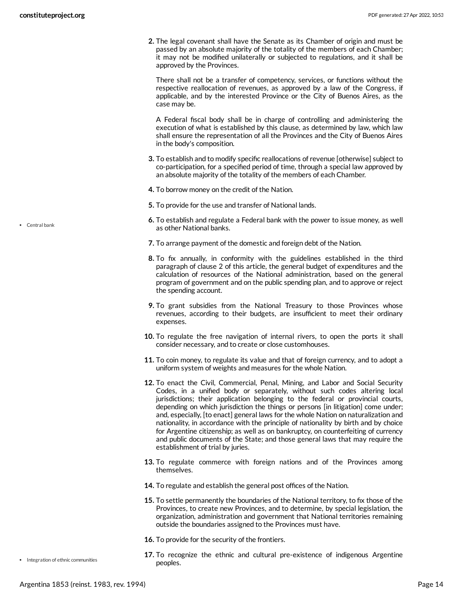**2.** The legal covenant shall have the Senate as its Chamber of origin and must be passed by an absolute majority of the totality of the members of each Chamber; it may not be modified unilaterally or subjected to regulations, and it shall be approved by the Provinces.

There shall not be a transfer of competency, services, or functions without the respective reallocation of revenues, as approved by a law of the Congress, if applicable, and by the interested Province or the City of Buenos Aires, as the case may be.

A Federal fiscal body shall be in charge of controlling and administering the execution of what is established by this clause, as determined by law, which law shall ensure the representation of all the Provinces and the City of Buenos Aires in the body's composition.

- **3.** To establish and to modify specific reallocations of revenue [otherwise] subject to co-participation, for a specified period of time, through a special law approved by an absolute majority of the totality of the members of each Chamber.
- **4.** To borrow money on the credit of the Nation.
- **5.** To provide for the use and transfer of National lands.
- **6.** To establish and regulate a Federal bank with the power to issue money, as well as other National banks.
- **7.** To arrange payment of the domestic and foreign debt of the Nation.
- **8.** To fix annually, in conformity with the guidelines established in the third paragraph of clause 2 of this article, the general budget of expenditures and the calculation of resources of the National administration, based on the general program of government and on the public spending plan, and to approve or reject the spending account.
- **9.** To grant subsidies from the National Treasury to those Provinces whose revenues, according to their budgets, are insufficient to meet their ordinary expenses.
- **10.** To regulate the free navigation of internal rivers, to open the ports it shall consider necessary, and to create or close customhouses.
- **11.** To coin money, to regulate its value and that of foreign currency, and to adopt a uniform system of weights and measures for the whole Nation.
- **12.** To enact the Civil, Commercial, Penal, Mining, and Labor and Social Security Codes, in a unified body or separately, without such codes altering local jurisdictions; their application belonging to the federal or provincial courts, depending on which jurisdiction the things or persons [in litigation] come under; and, especially, [to enact] general laws for the whole Nation on naturalization and nationality, in accordance with the principle of nationality by birth and by choice for Argentine citizenship; as well as on bankruptcy, on counterfeiting of currency and public documents of the State; and those general laws that may require the establishment of trial by juries.
- **13.** To regulate commerce with foreign nations and of the Provinces among themselves.
- **14.** To regulate and establish the general post offices of the Nation.
- **15.** To settle permanently the boundaries of the National territory, to fix those of the Provinces, to create new Provinces, and to determine, by special legislation, the organization, administration and government that National territories remaining outside the boundaries assigned to the Provinces must have.
- **16.** To provide for the security of the frontiers.
- **17.** To recognize the ethnic and cultural pre-existence of indigenous Argentine peoples.

Central bank

• Integration of ethnic communities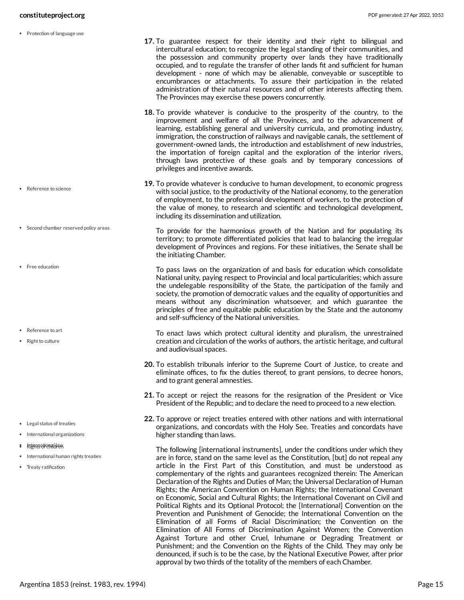• Protection of language use

- Second chamber reserved policy areas
- Free education
- Reference to art
- Right to culture

- Legal status of treaties
- International organizations
- International law Rights of children
- International human rights treaties
- Treaty ratification
- <span id="page-14-1"></span>**17.** To guarantee respect for their identity and their right to bilingual and intercultural education; to recognize the legal standing of their communities, and the possession and community property over lands they have traditionally occupied, and to regulate the transfer of other lands fit and sufficient for human development - none of which may be alienable, conveyable or susceptible to encumbrances or attachments. To assure their participation in the related administration of their natural resources and of other interests affecting them. The Provinces may exercise these powers concurrently.
- **18.** To provide whatever is conducive to the prosperity of the country, to the improvement and welfare of all the Provinces, and to the advancement of learning, establishing general and university curricula, and promoting industry, immigration, the construction of railways and navigable canals, the settlement of government-owned lands, the introduction and establishment of new industries, the importation of foreign capital and the exploration of the interior rivers, through laws protective of these goals and by temporary concessions of privileges and incentive awards.
- <span id="page-14-4"></span><span id="page-14-0"></span>**19.** To provide whatever is conducive to human development, to economic progress with social justice, to the productivity of the National economy, to the generation of employment, to the professional development of workers, to the protection of the value of money, to research and scientific and technological development, including its dissemination and utilization.
	- To provide for the harmonious growth of the Nation and for populating its territory; to promote differentiated policies that lead to balancing the irregular development of Provinces and regions. For these initiatives, the Senate shall be the initiating Chamber.
		- To pass laws on the organization of and basis for education which consolidate National unity, paying respect to Provincial and local particularities; which assure the undelegable responsibility of the State, the participation of the family and society, the promotion of democratic values and the equality of opportunities and means without any discrimination whatsoever, and which guarantee the principles of free and equitable public education by the State and the autonomy and self-sufficiency of the National universities.
		- To enact laws which protect cultural identity and pluralism, the unrestrained creation and circulation of the works of authors, the artistic heritage, and cultural and audiovisual spaces.
- <span id="page-14-2"></span>**20.** To establish tribunals inferior to the Supreme Court of Justice, to create and eliminate offices, to fix the duties thereof, to grant pensions, to decree honors, and to grant general amnesties.
- **21.** To accept or reject the reasons for the resignation of the President or Vice President of the Republic; and to declare the need to proceed to a new election.
- <span id="page-14-3"></span>**22.** To approve or reject treaties entered with other nations and with international organizations, and concordats with the Holy See. Treaties and concordats have higher standing than laws.
	- The following [international instruments], under the conditions under which they are in force, stand on the same level as the Constitution, [but] do not repeal any article in the First Part of this Constitution, and must be understood as complementary of the rights and guarantees recognized therein: The American Declaration of the Rights and Duties of Man; the Universal Declaration of Human Rights; the American Convention on Human Rights; the International Covenant on Economic, Social and Cultural Rights; the International Covenant on Civil and Political Rights and its Optional Protocol; the [International] Convention on the Prevention and Punishment of Genocide; the International Convention on the Elimination of all Forms of Racial Discrimination; the Convention on the Elimination of All Forms of Discrimination Against Women; the Convention Against Torture and other Cruel, Inhumane or Degrading Treatment or Punishment; and the Convention on the Rights of the Child. They may only be denounced, if such is to be the case, by the National Executive Power, after prior approval by two thirds of the totality of the members of each Chamber.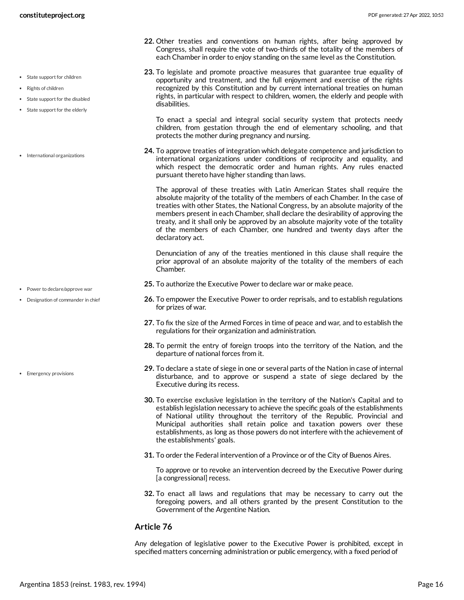- **22.** Other treaties and conventions on human rights, after being approved by Congress, shall require the vote of two-thirds of the totality of the members of each Chamber in order to enjoy standing on the same level as the Constitution.
- **23.** To legislate and promote proactive measures that guarantee true equality of opportunity and treatment, and the full enjoyment and exercise of the rights recognized by this Constitution and by current international treaties on human rights, in particular with respect to children, women, the elderly and people with disabilities.

To enact a special and integral social security system that protects needy children, from gestation through the end of elementary schooling, and that protects the mother during pregnancy and nursing.

**24.** To approve treaties of integration which delegate competence and jurisdiction to international organizations under conditions of reciprocity and equality, and which respect the democratic order and human rights. Any rules enacted pursuant thereto have higher standing than laws.

The approval of these treaties with Latin American States shall require the absolute majority of the totality of the members of each Chamber. In the case of treaties with other States, the National Congress, by an absolute majority of the members present in each Chamber, shall declare the desirability of approving the treaty, and it shall only be approved by an absolute majority vote of the totality of the members of each Chamber, one hundred and twenty days after the declaratory act.

Denunciation of any of the treaties mentioned in this clause shall require the prior approval of an absolute majority of the totality of the members of each Chamber.

- **25.** To authorize the Executive Power to declare war or make peace.
- **26.** To empower the Executive Power to order reprisals, and to establish regulations for prizes of war.
- **27.** To fix the size of the Armed Forces in time of peace and war, and to establish the regulations for their organization and administration.
- **28.** To permit the entry of foreign troops into the territory of the Nation, and the departure of national forces from it.
- **29.** To declare a state of siege in one or several parts of the Nation in case of internal disturbance, and to approve or suspend a state of siege declared by the Executive during its recess.
- **30.** To exercise exclusive legislation in the territory of the Nation's Capital and to establish legislation necessary to achieve the specific goals of the establishments of National utility throughout the territory of the Republic. Provincial and Municipal authorities shall retain police and taxation powers over these establishments, as long as those powers do not interfere with the achievement of the establishments' goals.
- **31.** To order the Federal intervention of a Province or of the City of Buenos Aires.

To approve or to revoke an intervention decreed by the Executive Power during [a congressional] recess.

**32.** To enact all laws and regulations that may be necessary to carry out the foregoing powers, and all others granted by the present Constitution to the Government of the Argentine Nation.

#### **Article 76**

Any delegation of legislative power to the Executive Power is prohibited, except in specified matters concerning administration or public emergency, with a fixed period of

- State support for children
- Rights of children
- State support for the disabled
- State support for the elderly
- International organizations

- Power to declare/approve war
- Designation of commander in chief

• Emergency provisions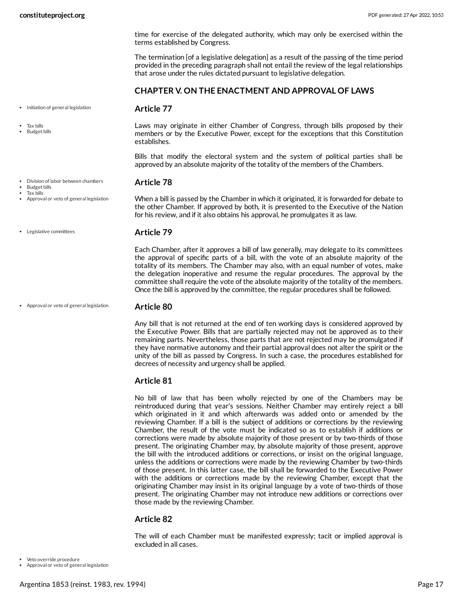time for exercise of the delegated authority, which may only be exercised within the terms established by Congress.

The termination [of a legislative delegation] as a result of the passing of the time period provided in the preceding paragraph shall not entail the review of the legal relationships that arose under the rules dictated pursuant to legislative delegation.

<span id="page-16-1"></span>Laws may originate in either Chamber of Congress, through bills proposed by their members or by the Executive Power, except for the exceptions that this Constitution

Bills that modify the electoral system and the system of political parties shall be approved by an absolute majority of the totality of the members of the Chambers.

#### **CHAPTER V. ON THE ENACTMENT AND APPROVAL OF LAWS**

• Initiation of general legislation

Tax bills

Budget bills

Division of labor between chambers

Budget bills

Tax bills

Approval or veto of general legislation

When a bill is passed by the Chamber in which it originated, it is forwarded for debate to the other Chamber. If approved by both, it is presented to the Executive of the Nation for his review, and if it also obtains his approval, he promulgates it as law.

Legislative committees

#### <span id="page-16-3"></span>**Article 79**

<span id="page-16-2"></span>**Article 77**

establishes.

<span id="page-16-0"></span>**Article 78**

Each Chamber, after it approves a bill of law generally, may delegate to its committees the approval of specific parts of a bill, with the vote of an absolute majority of the totality of its members. The Chamber may also, with an equal number of votes, make the delegation inoperative and resume the regular procedures. The approval by the committee shall require the vote of the absolute majority of the totality of the members. Once the bill is approved by the committee, the regular procedures shall be followed.

Approval or veto of general legislation

#### **Article 80**

Any bill that is not returned at the end of ten working days is considered approved by the Executive Power. Bills that are partially rejected may not be approved as to their remaining parts. Nevertheless, those parts that are not rejected may be promulgated if they have normative autonomy and their partial approval does not alter the spirit or the unity of the bill as passed by Congress. In such a case, the procedures established for decrees of necessity and urgency shall be applied.

#### **Article 81**

No bill of law that has been wholly rejected by one of the Chambers may be reintroduced during that year's sessions. Neither Chamber may entirely reject a bill which originated in it and which afterwards was added onto or amended by the reviewing Chamber. If a bill is the subject of additions or corrections by the reviewing Chamber, the result of the vote must be indicated so as to establish if additions or corrections were made by absolute majority of those present or by two-thirds of those present. The originating Chamber may, by absolute majority of those present, approve the bill with the introduced additions or corrections, or insist on the original language, unless the additions or corrections were made by the reviewing Chamber by two-thirds of those present. In this latter case, the bill shall be forwarded to the Executive Power with the additions or corrections made by the reviewing Chamber, except that the originating Chamber may insist in its original language by a vote of two-thirds of those present. The originating Chamber may not introduce new additions or corrections over those made by the reviewing Chamber.

#### **Article 82**

<span id="page-16-4"></span>The will of each Chamber must be manifested expressly; tacit or implied approval is excluded in all cases.

Veto override procedure

Approval or veto of general legislation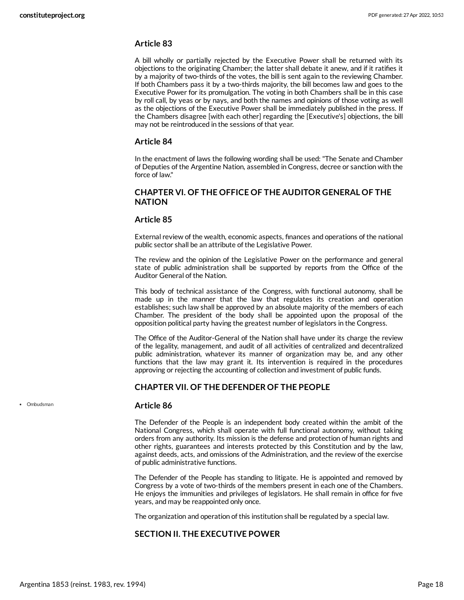#### **Article 83**

A bill wholly or partially rejected by the Executive Power shall be returned with its objections to the originating Chamber; the latter shall debate it anew, and if it ratifies it by a majority of two-thirds of the votes, the bill is sent again to the reviewing Chamber. If both Chambers pass it by a two-thirds majority, the bill becomes law and goes to the Executive Power for its promulgation. The voting in both Chambers shall be in this case by roll call, by yeas or by nays, and both the names and opinions of those voting as well as the objections of the Executive Power shall be immediately published in the press. If the Chambers disagree [with each other] regarding the [Executive's] objections, the bill may not be reintroduced in the sessions of that year.

#### **Article 84**

In the enactment of laws the following wording shall be used: "The Senate and Chamber of Deputies of the Argentine Nation, assembled in Congress, decree or sanction with the force of law."

#### **CHAPTER VI. OF THE OFFICE OF THE AUDITOR GENERAL OF THE NATION**

#### **Article 85**

External review of the wealth, economic aspects, finances and operations of the national public sector shall be an attribute of the Legislative Power.

The review and the opinion of the Legislative Power on the performance and general state of public administration shall be supported by reports from the Office of the Auditor General of the Nation.

This body of technical assistance of the Congress, with functional autonomy, shall be made up in the manner that the law that regulates its creation and operation establishes; such law shall be approved by an absolute majority of the members of each Chamber. The president of the body shall be appointed upon the proposal of the opposition political party having the greatest number of legislators in the Congress.

The Office of the Auditor-General of the Nation shall have under its charge the review of the legality, management, and audit of all activities of centralized and decentralized public administration, whatever its manner of organization may be, and any other functions that the law may grant it. Its intervention is required in the procedures approving or rejecting the accounting of collection and investment of public funds.

#### **CHAPTER VII. OF THE DEFENDER OF THE PEOPLE**

#### <span id="page-17-0"></span>**Article 86**

The Defender of the People is an independent body created within the ambit of the National Congress, which shall operate with full functional autonomy, without taking orders from any authority. Its mission is the defense and protection of human rights and other rights, guarantees and interests protected by this Constitution and by the law, against deeds, acts, and omissions of the Administration, and the review of the exercise of public administrative functions.

The Defender of the People has standing to litigate. He is appointed and removed by Congress by a vote of two-thirds of the members present in each one of the Chambers. He enjoys the immunities and privileges of legislators. He shall remain in office for five years, and may be reappointed only once.

The organization and operation of this institution shall be regulated by a special law.

#### **SECTION II. THE EXECUTIVE POWER**

• Ombudsman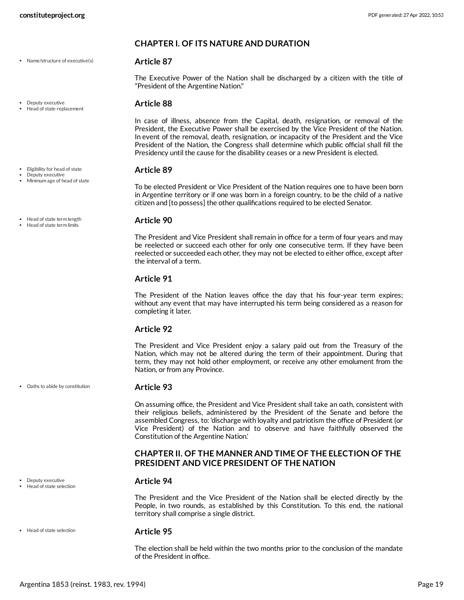- Name/structure of executive(s)
- · Deputy executive
- Head of state replacement
- Eligibility for head of state
- Deputy executive Minimum age of head of state
- 
- Head of state term length
- Head of state term limits

Oaths to abide by constitution

Deputy executive Head of state selection

• Head of state selection

# **Article 95**

The election shall be held within the two months prior to the conclusion of the mandate of the President in office.

#### **CHAPTER I. OF ITS NATURE AND DURATION**

#### <span id="page-18-4"></span>**Article 87**

The Executive Power of the Nation shall be discharged by a citizen with the title of "President of the Argentine Nation."

#### <span id="page-18-0"></span>**Article 88**

In case of illness, absence from the Capital, death, resignation, or removal of the President, the Executive Power shall be exercised by the Vice President of the Nation. In event of the removal, death, resignation, or incapacity of the President and the Vice President of the Nation, the Congress shall determine which public official shall fill the Presidency until the cause for the disability ceases or a new President is elected.

#### <span id="page-18-1"></span>**Article 89**

To be elected President or Vice President of the Nation requires one to have been born in Argentine territory or if one was born in a foreign country, to be the child of a native citizen and [to possess] the other qualifications required to be elected Senator.

#### <span id="page-18-3"></span>**Article 90**

The President and Vice President shall remain in office for a term of four years and may be reelected or succeed each other for only one consecutive term. If they have been reelected or succeeded each other, they may not be elected to either office, except after the interval of a term.

#### **Article 91**

The President of the Nation leaves office the day that his four-year term expires; without any event that may have interrupted his term being considered as a reason for completing it later.

#### **Article 92**

The President and Vice President enjoy a salary paid out from the Treasury of the Nation, which may not be altered during the term of their appointment. During that term, they may not hold other employment, or receive any other emolument from the Nation, or from any Province.

#### <span id="page-18-5"></span>**Article 93**

On assuming office, the President and Vice President shall take an oath, consistent with their religious beliefs, administered by the President of the Senate and before the assembled Congress, to: 'discharge with loyalty and patriotism the office of President (or Vice President) of the Nation and to observe and have faithfully observed the Constitution of the Argentine Nation.'

#### **CHAPTER II. OF THE MANNER AND TIME OF THE ELECTION OF THE PRESIDENT AND VICE PRESIDENT OF THE NATION**

#### <span id="page-18-2"></span>**Article 94**

The President and the Vice President of the Nation shall be elected directly by the People, in two rounds, as established by this Constitution. To this end, the national territory shall comprise a single district.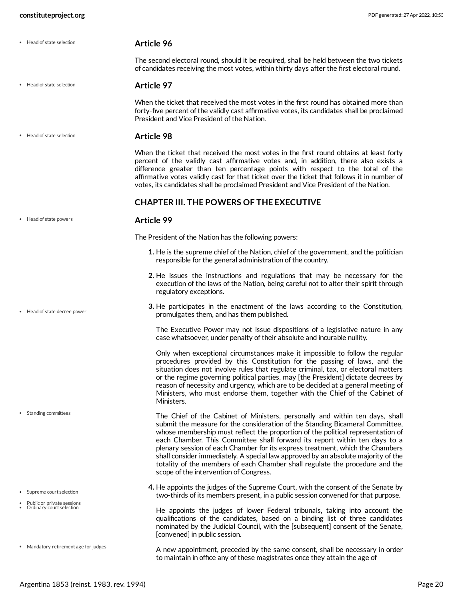Head of state selection

Head of state selection

<span id="page-19-2"></span>The second electoral round, should it be required, shall be held between the two tickets of candidates receiving the most votes, within thirty days after the first electoral round.

#### **Article 97**

When the ticket that received the most votes in the first round has obtained more than forty-five percent of the validly cast affirmative votes, its candidates shall be proclaimed President and Vice President of the Nation.

**Article 98** • Head of state selection

> When the ticket that received the most votes in the first round obtains at least forty percent of the validly cast affirmative votes and, in addition, there also exists a difference greater than ten percentage points with respect to the total of the affirmative votes validly cast for that ticket over the ticket that follows it in number of votes, its candidates shall be proclaimed President and Vice President of the Nation.

#### <span id="page-19-1"></span>**CHAPTER III. THE POWERS OF THE EXECUTIVE**

#### **Article 99**

<span id="page-19-0"></span>The President of the Nation has the following powers:

- **1.** He is the supreme chief of the Nation, chief of the government, and the politician responsible for the general administration of the country.
- **2.** He issues the instructions and regulations that may be necessary for the execution of the laws of the Nation, being careful not to alter their spirit through regulatory exceptions.
- **3.** He participates in the enactment of the laws according to the Constitution, promulgates them, and has them published.

The Executive Power may not issue dispositions of a legislative nature in any case whatsoever, under penalty of their absolute and incurable nullity.

Only when exceptional circumstances make it impossible to follow the regular procedures provided by this Constitution for the passing of laws, and the situation does not involve rules that regulate criminal, tax, or electoral matters or the regime governing political parties, may [the President] dictate decrees by reason of necessity and urgency, which are to be decided at a general meeting of Ministers, who must endorse them, together with the Chief of the Cabinet of Ministers.

<span id="page-19-5"></span>The Chief of the Cabinet of Ministers, personally and within ten days, shall submit the measure for the consideration of the Standing Bicameral Committee, whose membership must reflect the proportion of the political representation of each Chamber. This Committee shall forward its report within ten days to a plenary session of each Chamber for its express treatment, which the Chambers shall consider immediately. A special law approved by an absolute majority of the totality of the members of each Chamber shall regulate the procedure and the scope of the intervention of Congress.

**4.** He appoints the judges of the Supreme Court, with the consent of the Senate by two-thirds of its members present, in a public session convened for that purpose.

<span id="page-19-4"></span>He appoints the judges of lower Federal tribunals, taking into account the qualifications of the candidates, based on a binding list of three candidates nominated by the Judicial Council, with the [subsequent] consent of the Senate, [convened] in public session.

<span id="page-19-3"></span>A new appointment, preceded by the same consent, shall be necessary in order to maintain in office any of these magistrates once they attain the age of

• Head of state powers

Head of state decree power

• Standing committees

- Supreme court selection
- Public or private sessions Ordinary court selection
- Mandatory retirement age for judges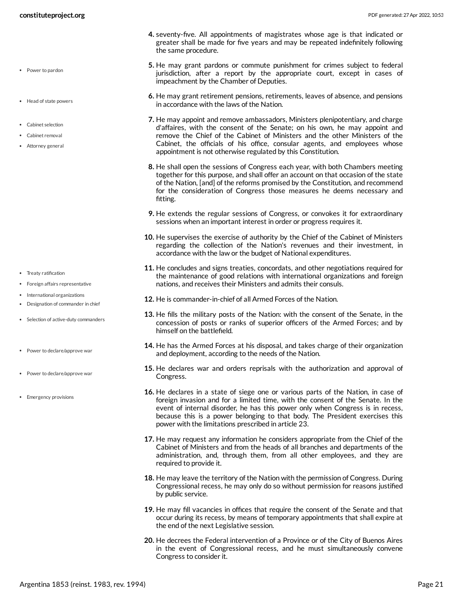- Power to pardon
- Head of state powers
- Cabinet selection
- Cabinet removal
- Attorney general

- Treaty ratification
- Foreign affairs representative
- International organizations
- Designation of commander in chief
- Selection of active-duty commanders
- Power to declare/approve war
- Power to declare/approve war
- Emergency provisions
- **4.** seventy-five. All appointments of magistrates whose age is that indicated or greater shall be made for five years and may be repeated indefinitely following the same procedure.
- **5.** He may grant pardons or commute punishment for crimes subject to federal jurisdiction, after a report by the appropriate court, except in cases of impeachment by the Chamber of Deputies.
- **6.** He may grant retirement pensions, retirements, leaves of absence, and pensions in accordance with the laws of the Nation.
- **7.** He may appoint and remove ambassadors, Ministers plenipotentiary, and charge d'affaires, with the consent of the Senate; on his own, he may appoint and remove the Chief of the Cabinet of Ministers and the other Ministers of the Cabinet, the officials of his office, consular agents, and employees whose appointment is not otherwise regulated by this Constitution.
- **8.** He shall open the sessions of Congress each year, with both Chambers meeting together for this purpose, and shall offer an account on that occasion of the state of the Nation, [and] of the reforms promised by the Constitution, and recommend for the consideration of Congress those measures he deems necessary and fitting.
- **9.** He extends the regular sessions of Congress, or convokes it for extraordinary sessions when an important interest in order or progress requires it.
- **10.** He supervises the exercise of authority by the Chief of the Cabinet of Ministers regarding the collection of the Nation's revenues and their investment, in accordance with the law or the budget of National expenditures.
- **11.** He concludes and signs treaties, concordats, and other negotiations required for the maintenance of good relations with international organizations and foreign nations, and receives their Ministers and admits their consuls.
- **12.** He is commander-in-chief of all Armed Forces of the Nation.
- **13.** He fills the military posts of the Nation: with the consent of the Senate, in the concession of posts or ranks of superior officers of the Armed Forces; and by himself on the battlefield.
- **14.** He has the Armed Forces at his disposal, and takes charge of their organization and deployment, according to the needs of the Nation.
- **15.** He declares war and orders reprisals with the authorization and approval of Congress.
- **16.** He declares in a state of siege one or various parts of the Nation, in case of foreign invasion and for a limited time, with the consent of the Senate. In the event of internal disorder, he has this power only when Congress is in recess, because this is a power belonging to that body. The President exercises this power with the limitations prescribed in article 23.
- **17.** He may request any information he considers appropriate from the Chief of the Cabinet of Ministers and from the heads of all branches and departments of the administration, and, through them, from all other employees, and they are required to provide it.
- **18.** He may leave the territory of the Nation with the permission of Congress. During Congressional recess, he may only do so without permission for reasons justified by public service.
- **19.** He may fill vacancies in offices that require the consent of the Senate and that occur during its recess, by means of temporary appointments that shall expire at the end of the next Legislative session.
- **20.** He decrees the Federal intervention of a Province or of the City of Buenos Aires in the event of Congressional recess, and he must simultaneously convene Congress to consider it.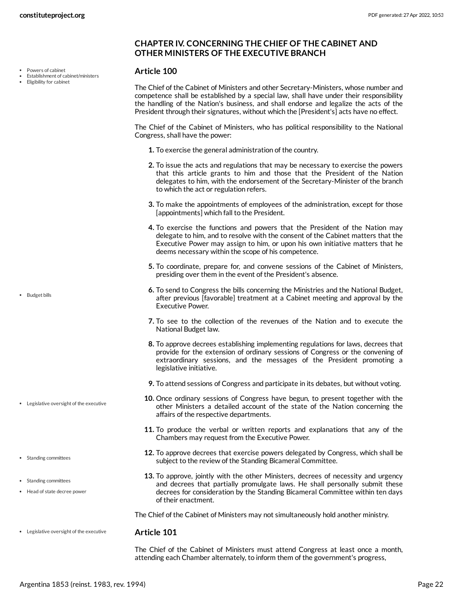Powers of cabinet

- Establishment of cabinet/ministers
- Eligibility for cabinet

• Budget bills

Legislative oversight of the executive

• Standing committees

• Standing committees Head of state decree power

### **CHAPTER IV. CONCERNING THE CHIEF OF THE CABINET AND OTHER MINISTERS OF THE EXECUTIVE BRANCH**

#### <span id="page-21-1"></span>**Article 100**

The Chief of the Cabinet of Ministers and other Secretary-Ministers, whose number and competence shall be established by a special law, shall have under their responsibility the handling of the Nation's business, and shall endorse and legalize the acts of the President through their signatures, without which the [President's] acts have no effect.

<span id="page-21-0"></span>The Chief of the Cabinet of Ministers, who has political responsibility to the National Congress, shall have the power:

- **1.** To exercise the general administration of the country.
- **2.** To issue the acts and regulations that may be necessary to exercise the powers that this article grants to him and those that the President of the Nation delegates to him, with the endorsement of the Secretary-Minister of the branch to which the act or regulation refers.
- **3.** To make the appointments of employees of the administration, except for those [appointments] which fall to the President.
- **4.** To exercise the functions and powers that the President of the Nation may delegate to him, and to resolve with the consent of the Cabinet matters that the Executive Power may assign to him, or upon his own initiative matters that he deems necessary within the scope of his competence.
- **5.** To coordinate, prepare for, and convene sessions of the Cabinet of Ministers, presiding over them in the event of the President's absence.
- **6.** To send to Congress the bills concerning the Ministries and the National Budget, after previous [favorable] treatment at a Cabinet meeting and approval by the Executive Power.
- **7.** To see to the collection of the revenues of the Nation and to execute the National Budget law.
- **8.** To approve decrees establishing implementing regulations for laws, decrees that provide for the extension of ordinary sessions of Congress or the convening of extraordinary sessions, and the messages of the President promoting a legislative initiative.
- **9.** To attend sessions of Congress and participate in its debates, but without voting.
- **10.** Once ordinary sessions of Congress have begun, to present together with the other Ministers a detailed account of the state of the Nation concerning the affairs of the respective departments.
- **11.** To produce the verbal or written reports and explanations that any of the Chambers may request from the Executive Power.
- **12.** To approve decrees that exercise powers delegated by Congress, which shall be subject to the review of the Standing Bicameral Committee.
- **13.** To approve, jointly with the other Ministers, decrees of necessity and urgency and decrees that partially promulgate laws. He shall personally submit these decrees for consideration by the Standing Bicameral Committee within ten days of their enactment.

The Chief of the Cabinet of Ministers may not simultaneously hold another ministry.

**Article 101** Legislative oversight of the executive

> The Chief of the Cabinet of Ministers must attend Congress at least once a month, attending each Chamber alternately, to inform them of the government's progress,

Argentina 1853 (reinst. 1983, rev. 1994) Page 22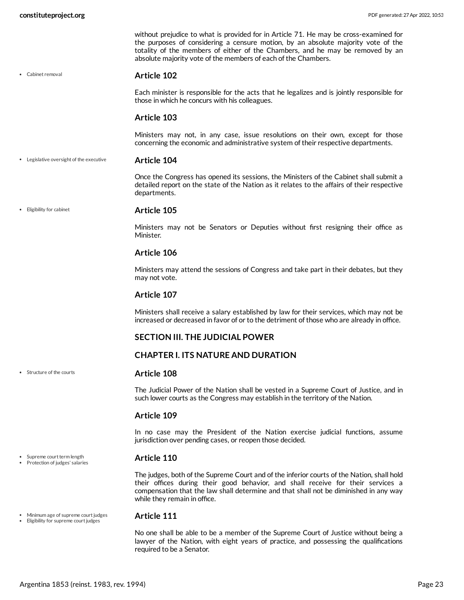Cabinet removal

without prejudice to what is provided for in Article 71. He may be cross-examined for the purposes of considering a censure motion, by an absolute majority vote of the totality of the members of either of the Chambers, and he may be removed by an absolute majority vote of the members of each of the Chambers.

#### <span id="page-22-0"></span>**Article 102**

Each minister is responsible for the acts that he legalizes and is jointly responsible for those in which he concurs with his colleagues.

#### **Article 103**

Ministers may not, in any case, issue resolutions on their own, except for those concerning the economic and administrative system of their respective departments.

**Article 104** Legislative oversight of the executive

> <span id="page-22-3"></span>Once the Congress has opened its sessions, the Ministers of the Cabinet shall submit a detailed report on the state of the Nation as it relates to the affairs of their respective departments.

Eligibility for cabinet

Structure of the courts

• Supreme court term length Protection of judges' salaries

#### <span id="page-22-1"></span>**Article 105**

Ministers may not be Senators or Deputies without first resigning their office as Minister.

#### **Article 106**

Ministers may attend the sessions of Congress and take part in their debates, but they may not vote.

#### **Article 107**

Ministers shall receive a salary established by law for their services, which may not be increased or decreased in favor of or to the detriment of those who are already in office.

#### **SECTION III. THE JUDICIAL POWER**

#### **CHAPTER I. ITS NATURE AND DURATION**

#### <span id="page-22-5"></span>**Article 108**

The Judicial Power of the Nation shall be vested in a Supreme Court of Justice, and in such lower courts as the Congress may establish in the territory of the Nation.

#### **Article 109**

In no case may the President of the Nation exercise judicial functions, assume jurisdiction over pending cases, or reopen those decided.

#### <span id="page-22-4"></span>**Article 110**

The judges, both of the Supreme Court and of the inferior courts of the Nation, shall hold their offices during their good behavior, and shall receive for their services a compensation that the law shall determine and that shall not be diminished in any way while they remain in office.

Minimum age of supreme court judges • Eligibility for supreme court judges

#### <span id="page-22-2"></span>**Article 111**

No one shall be able to be a member of the Supreme Court of Justice without being a lawyer of the Nation, with eight years of practice, and possessing the qualifications required to be a Senator.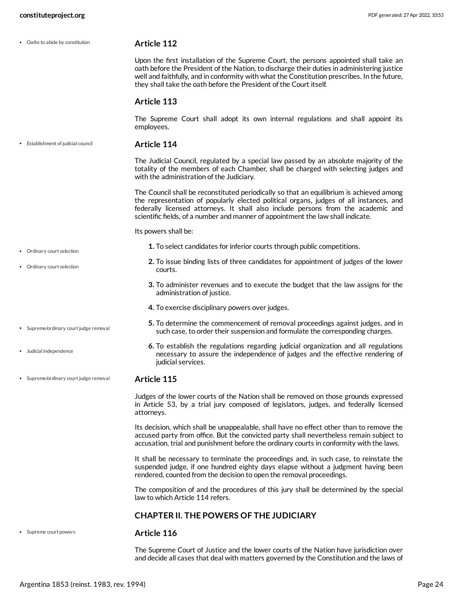Oaths to abide by constitution

Ordinary court selection

Ordinary court selection

Judicial independence

• Supreme/ordinary court judge removal

<span id="page-23-2"></span>**Article 112**

Upon the first installation of the Supreme Court, the persons appointed shall take an oath before the President of the Nation, to discharge their duties in administering justice well and faithfully, and in conformity with what the Constitution prescribes. In the future, they shall take the oath before the President of the Court itself.

#### **Article 113**

The Supreme Court shall adopt its own internal regulations and shall appoint its employees.

**Article 114** Establishment of judicial council

> <span id="page-23-0"></span>The Judicial Council, regulated by a special law passed by an absolute majority of the totality of the members of each Chamber, shall be charged with selecting judges and with the administration of the Judiciary.

> The Council shall be reconstituted periodically so that an equilibrium is achieved among the representation of popularly elected political organs, judges of all instances, and federally licensed attorneys. It shall also include persons from the academic and scientific fields, of a number and manner of appointment the law shall indicate.

<span id="page-23-1"></span>Its powers shall be:

- **1.** To select candidates for inferior courts through public competitions.
- **2.** To issue binding lists of three candidates for appointment of judges of the lower courts.
- **3.** To administer revenues and to execute the budget that the law assigns for the administration of justice.
- **4.** To exercise disciplinary powers over judges.
- **5.** To determine the commencement of removal proceedings against judges, and in such case, to order their suspension and formulate the corresponding charges.
- **6.** To establish the regulations regarding judicial organization and all regulations necessary to assure the independence of judges and the effective rendering of judicial services.

#### **Article 115** • Supreme/ordinary court judge removal

Judges of the lower courts of the Nation shall be removed on those grounds expressed in Article 53, by a trial jury composed of legislators, judges, and federally licensed attorneys.

Its decision, which shall be unappealable, shall have no effect other than to remove the accused party from office. But the convicted party shall nevertheless remain subject to accusation, trial and punishment before the ordinary courts in conformity with the laws.

It shall be necessary to terminate the proceedings and, in such case, to reinstate the suspended judge, if one hundred eighty days elapse without a judgment having been rendered, counted from the decision to open the removal proceedings.

The composition of and the procedures of this jury shall be determined by the special law to which Article 114 refers.

#### **CHAPTER II. THE POWERS OF THE JUDICIARY**

Supreme court powers

#### <span id="page-23-3"></span>**Article 116**

The Supreme Court of Justice and the lower courts of the Nation have jurisdiction over and decide all cases that deal with matters governed by the Constitution and the laws of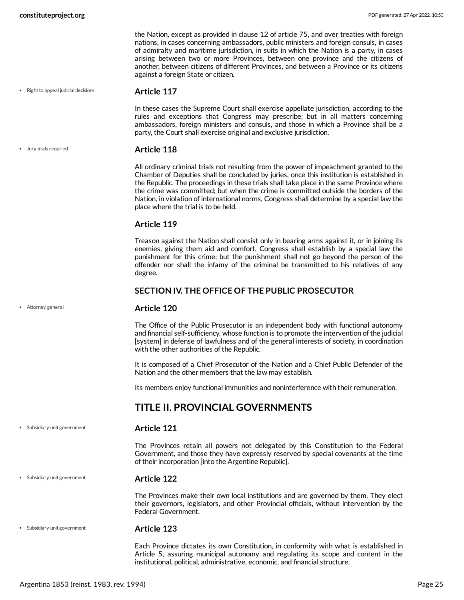the Nation, except as provided in clause 12 of article 75, and over treaties with foreign nations, in cases concerning ambassadors, public ministers and foreign consuls, in cases of admiralty and maritime jurisdiction, in suits in which the Nation is a party, in cases arising between two or more Provinces, between one province and the citizens of another, between citizens of different Provinces, and between a Province or its citizens against a foreign State or citizen.

 $\bullet$  Right to appeal judicial decisions

#### <span id="page-24-3"></span>**Article 117**

In these cases the Supreme Court shall exercise appellate jurisdiction, according to the rules and exceptions that Congress may prescribe; but in all matters concerning ambassadors, foreign ministers and consuls, and those in which a Province shall be a party, the Court shall exercise original and exclusive jurisdiction.

**Article 118** Jury trials required

> <span id="page-24-2"></span>All ordinary criminal trials not resulting from the power of impeachment granted to the Chamber of Deputies shall be concluded by juries, once this institution is established in the Republic. The proceedings in these trials shall take place in the same Province where the crime was committed; but when the crime is committed outside the borders of the Nation, in violation of international norms, Congress shall determine by a special law the place where the trial is to be held.

#### **Article 119**

Treason against the Nation shall consist only in bearing arms against it, or in joining its enemies, giving them aid and comfort. Congress shall establish by a special law the punishment for this crime; but the punishment shall not go beyond the person of the offender nor shall the infamy of the criminal be transmitted to his relatives of any degree.

## <span id="page-24-1"></span>**SECTION IV. THE OFFICE OF THE PUBLIC PROSECUTOR**

#### **Article 120**

The Office of the Public Prosecutor is an independent body with functional autonomy and financial self-sufficiency, whose function is to promote the intervention of the judicial [system] in defense of lawfulness and of the general interests of society, in coordination with the other authorities of the Republic.

It is composed of a Chief Prosecutor of the Nation and a Chief Public Defender of the Nation and the other members that the law may establish.

Its members enjoy functional immunities and noninterference with their remuneration.

# <span id="page-24-0"></span>**TITLE II. PROVINCIAL GOVERNMENTS**

Subsidiary unit government

Attorney general

#### <span id="page-24-4"></span>**Article 121**

The Provinces retain all powers not delegated by this Constitution to the Federal Government, and those they have expressly reserved by special covenants at the time of their incorporation [into the Argentine Republic].

Subsidiary unit government

#### **Article 122**

The Provinces make their own local institutions and are governed by them. They elect their governors, legislators, and other Provincial officials, without intervention by the Federal Government.

Subsidiary unit government

#### **Article 123**

Each Province dictates its own Constitution, in conformity with what is established in Article 5, assuring municipal autonomy and regulating its scope and content in the institutional, political, administrative, economic, and financial structure.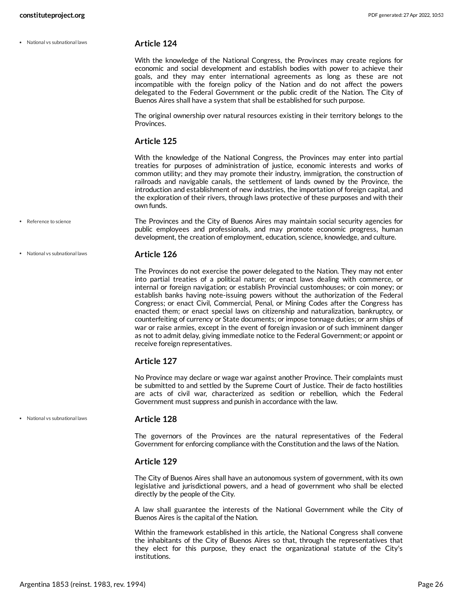National vs subnational laws

#### <span id="page-25-0"></span>**Article 124**

With the knowledge of the National Congress, the Provinces may create regions for economic and social development and establish bodies with power to achieve their goals, and they may enter international agreements as long as these are not incompatible with the foreign policy of the Nation and do not affect the powers delegated to the Federal Government or the public credit of the Nation. The City of Buenos Aires shall have a system that shall be established for such purpose.

The original ownership over natural resources existing in their territory belongs to the Provinces.

#### **Article 125**

With the knowledge of the National Congress, the Provinces may enter into partial treaties for purposes of administration of justice, economic interests and works of common utility; and they may promote their industry, immigration, the construction of railroads and navigable canals, the settlement of lands owned by the Province, the introduction and establishment of new industries, the importation of foreign capital, and the exploration of their rivers, through laws protective of these purposes and with their own funds.

- The Provinces and the City of Buenos Aires may maintain social security agencies for public employees and professionals, and may promote economic progress, human development, the creation of employment, education, science, knowledge, and culture. • Reference to science
- **Article 126** National vs subnational laws

<span id="page-25-1"></span>The Provinces do not exercise the power delegated to the Nation. They may not enter into partial treaties of a political nature; or enact laws dealing with commerce, or internal or foreign navigation; or establish Provincial customhouses; or coin money; or establish banks having note-issuing powers without the authorization of the Federal Congress; or enact Civil, Commercial, Penal, or Mining Codes after the Congress has enacted them; or enact special laws on citizenship and naturalization, bankruptcy, or counterfeiting of currency or State documents; or impose tonnage duties; or arm ships of war or raise armies, except in the event of foreign invasion or of such imminent danger as not to admit delay, giving immediate notice to the Federal Government; or appoint or receive foreign representatives.

#### **Article 127**

No Province may declare or wage war against another Province. Their complaints must be submitted to and settled by the Supreme Court of Justice. Their de facto hostilities are acts of civil war, characterized as sedition or rebellion, which the Federal Government must suppress and punish in accordance with the law.

National vs subnational laws

#### **Article 128**

The governors of the Provinces are the natural representatives of the Federal Government for enforcing compliance with the Constitution and the laws of the Nation.

#### **Article 129**

The City of Buenos Aires shall have an autonomous system of government, with its own legislative and jurisdictional powers, and a head of government who shall be elected directly by the people of the City.

A law shall guarantee the interests of the National Government while the City of Buenos Aires is the capital of the Nation.

Within the framework established in this article, the National Congress shall convene the inhabitants of the City of Buenos Aires so that, through the representatives that they elect for this purpose, they enact the organizational statute of the City's institutions.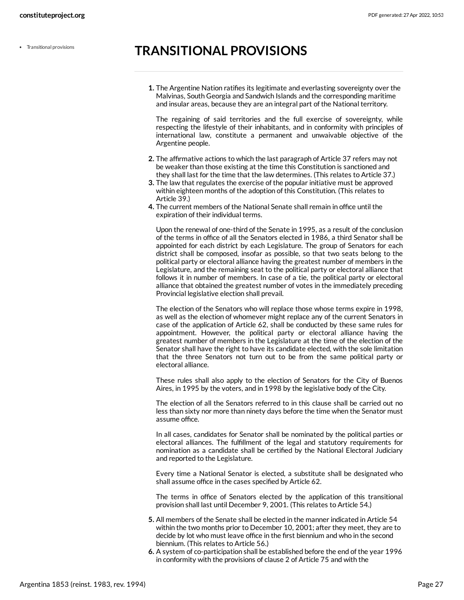# <span id="page-26-0"></span>**TRANSITIONAL PROVISIONS**

**1.** The Argentine Nation ratifies its legitimate and everlasting sovereignty over the Malvinas, South Georgia and Sandwich Islands and the corresponding maritime and insular areas, because they are an integral part of the National territory.

The regaining of said territories and the full exercise of sovereignty, while respecting the lifestyle of their inhabitants, and in conformity with principles of international law, constitute a permanent and unwaivable objective of the Argentine people.

- **2.** The affirmative actions to which the last paragraph of Article 37 refers may not be weaker than those existing at the time this Constitution is sanctioned and they shall last for the time that the law determines. (This relates to Article 37.)
- **3.** The law that regulates the exercise of the popular initiative must be approved within eighteen months of the adoption of this Constitution. (This relates to Article 39.)
- **4.** The current members of the National Senate shall remain in office until the expiration of their individual terms.

Upon the renewal of one-third of the Senate in 1995, as a result of the conclusion of the terms in office of all the Senators elected in 1986, a third Senator shall be appointed for each district by each Legislature. The group of Senators for each district shall be composed, insofar as possible, so that two seats belong to the political party or electoral alliance having the greatest number of members in the Legislature, and the remaining seat to the political party or electoral alliance that follows it in number of members. In case of a tie, the political party or electoral alliance that obtained the greatest number of votes in the immediately preceding Provincial legislative election shall prevail.

The election of the Senators who will replace those whose terms expire in 1998, as well as the election of whomever might replace any of the current Senators in case of the application of Article 62, shall be conducted by these same rules for appointment. However, the political party or electoral alliance having the greatest number of members in the Legislature at the time of the election of the Senator shall have the right to have its candidate elected, with the sole limitation that the three Senators not turn out to be from the same political party or electoral alliance.

These rules shall also apply to the election of Senators for the City of Buenos Aires, in 1995 by the voters, and in 1998 by the legislative body of the City.

The election of all the Senators referred to in this clause shall be carried out no less than sixty nor more than ninety days before the time when the Senator must assume office.

In all cases, candidates for Senator shall be nominated by the political parties or electoral alliances. The fulfillment of the legal and statutory requirements for nomination as a candidate shall be certified by the National Electoral Judiciary and reported to the Legislature.

Every time a National Senator is elected, a substitute shall be designated who shall assume office in the cases specified by Article 62.

The terms in office of Senators elected by the application of this transitional provision shall last until December 9, 2001. (This relates to Article 54.)

- **5.** All members of the Senate shall be elected in the manner indicated in Article 54 within the two months prior to December 10, 2001; after they meet, they are to decide by lot who must leave office in the first biennium and who in the second biennium. (This relates to Article 56.)
- **6.** A system of co-participation shall be established before the end of the year 1996 in conformity with the provisions of clause 2 of Article 75 and with the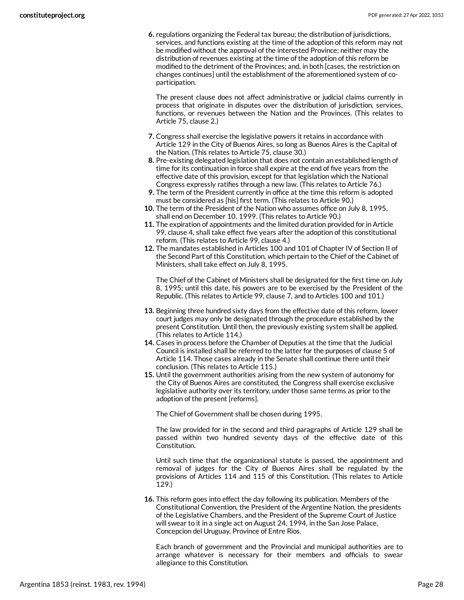**6.** regulations organizing the Federal tax bureau; the distribution of jurisdictions, services, and functions existing at the time of the adoption of this reform may not be modified without the approval of the interested Province; neither may the distribution of revenues existing at the time of the adoption of this reform be modified to the detriment of the Provinces; and, in both [cases, the restriction on changes continues] until the establishment of the aforementioned system of coparticipation.

The present clause does not affect administrative or judicial claims currently in process that originate in disputes over the distribution of jurisdiction, services, functions, or revenues between the Nation and the Provinces. (This relates to Article 75, clause 2.)

- **7.** Congress shall exercise the legislative powers it retains in accordance with Article 129 in the City of Buenos Aires, so long as Buenos Aires is the Capital of the Nation. (This relates to Article 75, clause 30.)
- **8.** Pre-existing delegated legislation that does not contain an established length of time for its continuation in force shall expire at the end of five years from the effective date of this provision, except for that legislation which the National Congress expressly ratifies through a new law. (This relates to Article 76.)
- **9.** The term of the President currently in office at the time this reform is adopted must be considered as [his] first term. (This relates to Article 90.)
- **10.** The term of the President of the Nation who assumes office on July 8, 1995, shall end on December 10, 1999. (This relates to Article 90.)
- **11.** The expiration of appointments and the limited duration provided for in Article 99, clause 4, shall take effect five years after the adoption of this constitutional reform. (This relates to Article 99, clause 4.)
- **12.** The mandates established in Articles 100 and 101 of Chapter IV of Section II of the Second Part of this Constitution, which pertain to the Chief of the Cabinet of Ministers, shall take effect on July 8, 1995.

The Chief of the Cabinet of Ministers shall be designated for the first time on July 8, 1995; until this date, his powers are to be exercised by the President of the Republic. (This relates to Article 99, clause 7, and to Articles 100 and 101.)

- **13.** Beginning three hundred sixty days from the effective date of this reform, lower court judges may only be designated through the procedure established by the present Constitution. Until then, the previously existing system shall be applied. (This relates to Article 114.)
- **14.** Cases in process before the Chamber of Deputies at the time that the Judicial Council is installed shall be referred to the latter for the purposes of clause 5 of Article 114. Those cases already in the Senate shall continue there until their conclusion. (This relates to Article 115.)
- **15.** Until the government authorities arising from the new system of autonomy for the City of Buenos Aires are constituted, the Congress shall exercise exclusive legislative authority over its territory, under those same terms as prior to the adoption of the present [reforms].

The Chief of Government shall be chosen during 1995.

The law provided for in the second and third paragraphs of Article 129 shall be passed within two hundred seventy days of the effective date of this Constitution.

Until such time that the organizational statute is passed, the appointment and removal of judges for the City of Buenos Aires shall be regulated by the provisions of Articles 114 and 115 of this Constitution. (This relates to Article 129.)

**16.** This reform goes into effect the day following its publication. Members of the Constitutional Convention, the President of the Argentine Nation, the presidents of the Legislative Chambers, and the President of the Supreme Court of Justice will swear to it in a single act on August 24, 1994, in the San Jose Palace, Concepcion del Uruguay, Province of Entre Rios.

Each branch of government and the Provincial and municipal authorities are to arrange whatever is necessary for their members and officials to swear allegiance to this Constitution.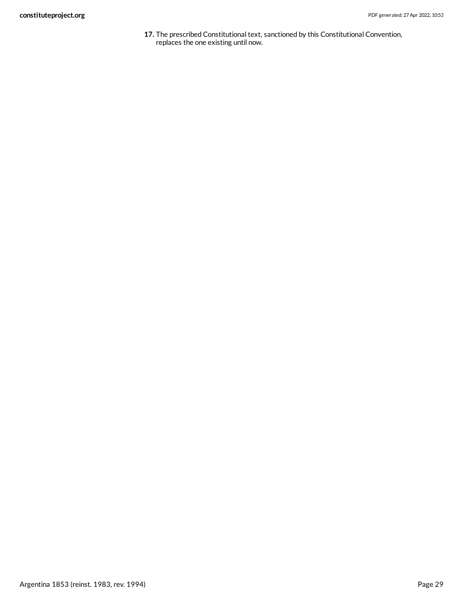**17.** The prescribed Constitutional text, sanctioned by this Constitutional Convention, replaces the one existing until now.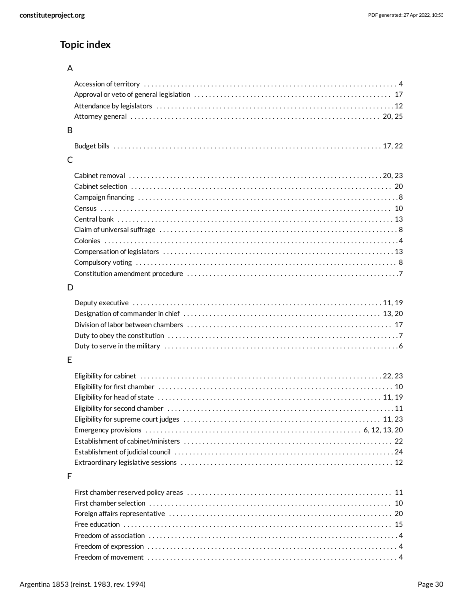# **Topic index**

#### $\overline{A}$

| B            |                                                                                                                      |
|--------------|----------------------------------------------------------------------------------------------------------------------|
|              |                                                                                                                      |
| $\mathsf{C}$ |                                                                                                                      |
|              |                                                                                                                      |
|              |                                                                                                                      |
|              |                                                                                                                      |
|              |                                                                                                                      |
|              |                                                                                                                      |
|              |                                                                                                                      |
|              |                                                                                                                      |
|              |                                                                                                                      |
|              |                                                                                                                      |
|              |                                                                                                                      |
|              |                                                                                                                      |
| D            |                                                                                                                      |
|              |                                                                                                                      |
|              |                                                                                                                      |
|              |                                                                                                                      |
|              |                                                                                                                      |
|              |                                                                                                                      |
| E            |                                                                                                                      |
|              |                                                                                                                      |
|              |                                                                                                                      |
|              |                                                                                                                      |
|              |                                                                                                                      |
|              |                                                                                                                      |
|              |                                                                                                                      |
|              |                                                                                                                      |
|              |                                                                                                                      |
|              | Establishment of judicial council material content of the content of the content of guidelengia council content $24$ |
|              |                                                                                                                      |
| F            |                                                                                                                      |
|              |                                                                                                                      |
|              |                                                                                                                      |
|              |                                                                                                                      |
|              |                                                                                                                      |
|              |                                                                                                                      |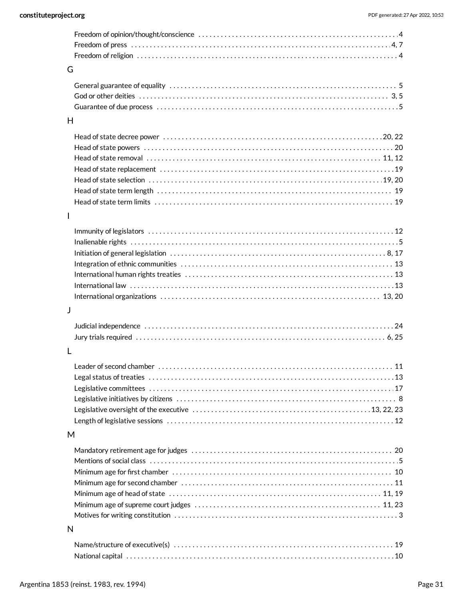| G            |                                                                                                                        |
|--------------|------------------------------------------------------------------------------------------------------------------------|
|              |                                                                                                                        |
|              |                                                                                                                        |
|              |                                                                                                                        |
| H            |                                                                                                                        |
|              |                                                                                                                        |
|              |                                                                                                                        |
|              |                                                                                                                        |
|              |                                                                                                                        |
|              |                                                                                                                        |
|              |                                                                                                                        |
|              |                                                                                                                        |
| $\mathbf{I}$ |                                                                                                                        |
|              |                                                                                                                        |
|              |                                                                                                                        |
|              | Initiation of general legislation $\dots\dots\dots\dots\dots\dots\dots\dots\dots\dots\dots\dots\dots\dots\dots\dots$ . |
|              |                                                                                                                        |
|              |                                                                                                                        |
|              |                                                                                                                        |
|              |                                                                                                                        |
| J            |                                                                                                                        |
|              |                                                                                                                        |
|              |                                                                                                                        |
| L            |                                                                                                                        |
|              |                                                                                                                        |
|              |                                                                                                                        |
|              |                                                                                                                        |
|              |                                                                                                                        |
|              |                                                                                                                        |
|              |                                                                                                                        |
|              |                                                                                                                        |
| M            |                                                                                                                        |
|              |                                                                                                                        |
|              |                                                                                                                        |
|              |                                                                                                                        |
|              |                                                                                                                        |
|              |                                                                                                                        |
|              |                                                                                                                        |
|              |                                                                                                                        |
| N            |                                                                                                                        |
|              |                                                                                                                        |
|              |                                                                                                                        |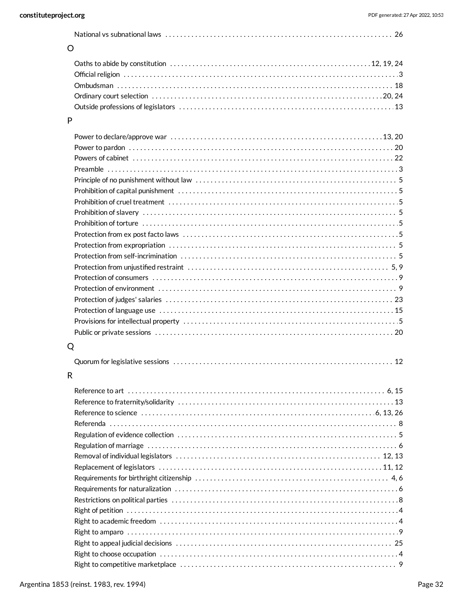#### O

# P

# Q

|--|--|--|

# R